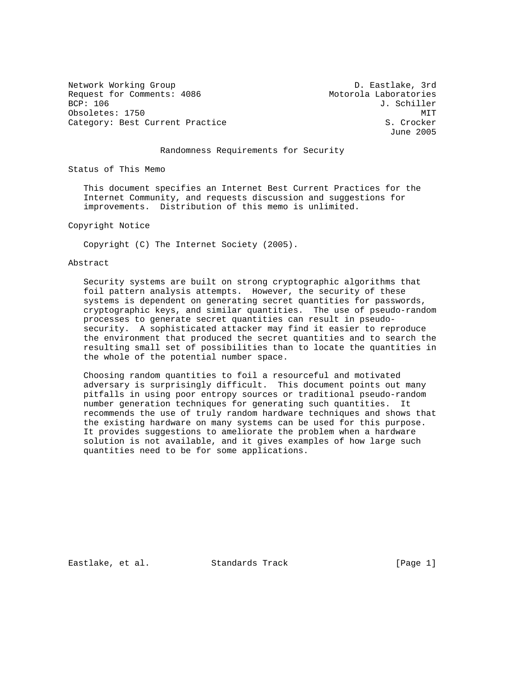Network Working Group and the Communication of the D. Eastlake, 3rd Request for Comments: 4086 Motorola Laboratories<br>BCP: 106 J. Schiller Obsoletes: 1750 MIT Category: Best Current Practice S. Crocker

J. Schiller June 2005

## Randomness Requirements for Security

Status of This Memo

 This document specifies an Internet Best Current Practices for the Internet Community, and requests discussion and suggestions for improvements. Distribution of this memo is unlimited.

Copyright Notice

Copyright (C) The Internet Society (2005).

## Abstract

 Security systems are built on strong cryptographic algorithms that foil pattern analysis attempts. However, the security of these systems is dependent on generating secret quantities for passwords, cryptographic keys, and similar quantities. The use of pseudo-random processes to generate secret quantities can result in pseudo security. A sophisticated attacker may find it easier to reproduce the environment that produced the secret quantities and to search the resulting small set of possibilities than to locate the quantities in the whole of the potential number space.

 Choosing random quantities to foil a resourceful and motivated adversary is surprisingly difficult. This document points out many pitfalls in using poor entropy sources or traditional pseudo-random number generation techniques for generating such quantities. It recommends the use of truly random hardware techniques and shows that the existing hardware on many systems can be used for this purpose. It provides suggestions to ameliorate the problem when a hardware solution is not available, and it gives examples of how large such quantities need to be for some applications.

Eastlake, et al. Standards Track [Page 1]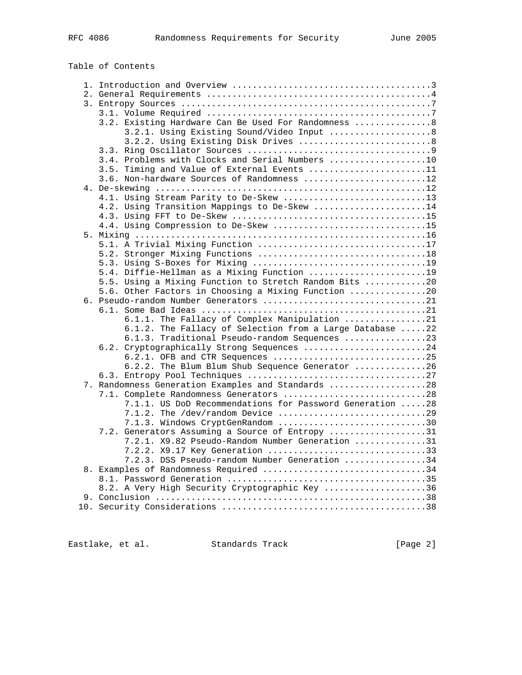# Table of Contents

| 3.2. Existing Hardware Can Be Used For Randomness  8                          |  |
|-------------------------------------------------------------------------------|--|
| 3.2.1. Using Existing Sound/Video Input  8                                    |  |
| 3.2.2. Using Existing Disk Drives  8                                          |  |
|                                                                               |  |
| 3.4. Problems with Clocks and Serial Numbers 10                               |  |
| 3.5. Timing and Value of External Events 11                                   |  |
| 3.6. Non-hardware Sources of Randomness 12                                    |  |
|                                                                               |  |
| 4.1. Using Stream Parity to De-Skew 13                                        |  |
| 4.2. Using Transition Mappings to De-Skew 14                                  |  |
|                                                                               |  |
| 4.4. Using Compression to De-Skew 15                                          |  |
|                                                                               |  |
| 5.1. A Trivial Mixing Function 17                                             |  |
|                                                                               |  |
|                                                                               |  |
| 5.4. Diffie-Hellman as a Mixing Function 19                                   |  |
| 5.5. Using a Mixing Function to Stretch Random Bits 20                        |  |
| 5.6. Other Factors in Choosing a Mixing Function 20                           |  |
|                                                                               |  |
|                                                                               |  |
| 6.1.1. The Fallacy of Complex Manipulation 21                                 |  |
| 6.1.2. The Fallacy of Selection from a Large Database 22                      |  |
| 6.1.3. Traditional Pseudo-random Sequences 23                                 |  |
| 6.2. Cryptographically Strong Sequences 24<br>6.2.1. OFB and CTR Sequences 25 |  |
| 6.2.2. The Blum Blum Shub Sequence Generator 26                               |  |
|                                                                               |  |
| 7. Randomness Generation Examples and Standards 28                            |  |
| 7.1. Complete Randomness Generators 28                                        |  |
| 7.1.1. US DoD Recommendations for Password Generation 28                      |  |
|                                                                               |  |
| 7.1.3. Windows CryptGenRandom 30                                              |  |
| 7.2. Generators Assuming a Source of Entropy 31                               |  |
| 7.2.1. X9.82 Pseudo-Random Number Generation 31                               |  |
| 7.2.2. X9.17 Key Generation 33                                                |  |
| 7.2.3. DSS Pseudo-random Number Generation 34                                 |  |
| 8. Examples of Randomness Required 34                                         |  |
|                                                                               |  |
| 8.2. A Very High Security Cryptographic Key 36                                |  |
|                                                                               |  |
|                                                                               |  |
|                                                                               |  |

Eastlake, et al. Standards Track [Page 2]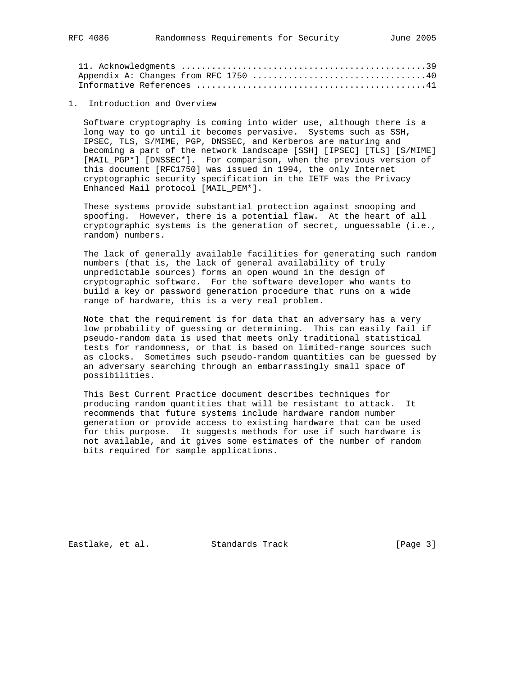1. Introduction and Overview

 Software cryptography is coming into wider use, although there is a long way to go until it becomes pervasive. Systems such as SSH, IPSEC, TLS, S/MIME, PGP, DNSSEC, and Kerberos are maturing and becoming a part of the network landscape [SSH] [IPSEC] [TLS] [S/MIME] [MAIL\_PGP\*] [DNSSEC\*]. For comparison, when the previous version of this document [RFC1750] was issued in 1994, the only Internet cryptographic security specification in the IETF was the Privacy Enhanced Mail protocol [MAIL\_PEM\*].

 These systems provide substantial protection against snooping and spoofing. However, there is a potential flaw. At the heart of all cryptographic systems is the generation of secret, unguessable (i.e., random) numbers.

 The lack of generally available facilities for generating such random numbers (that is, the lack of general availability of truly unpredictable sources) forms an open wound in the design of cryptographic software. For the software developer who wants to build a key or password generation procedure that runs on a wide range of hardware, this is a very real problem.

 Note that the requirement is for data that an adversary has a very low probability of guessing or determining. This can easily fail if pseudo-random data is used that meets only traditional statistical tests for randomness, or that is based on limited-range sources such as clocks. Sometimes such pseudo-random quantities can be guessed by an adversary searching through an embarrassingly small space of possibilities.

 This Best Current Practice document describes techniques for producing random quantities that will be resistant to attack. It recommends that future systems include hardware random number generation or provide access to existing hardware that can be used for this purpose. It suggests methods for use if such hardware is not available, and it gives some estimates of the number of random bits required for sample applications.

Eastlake, et al. Standards Track [Page 3]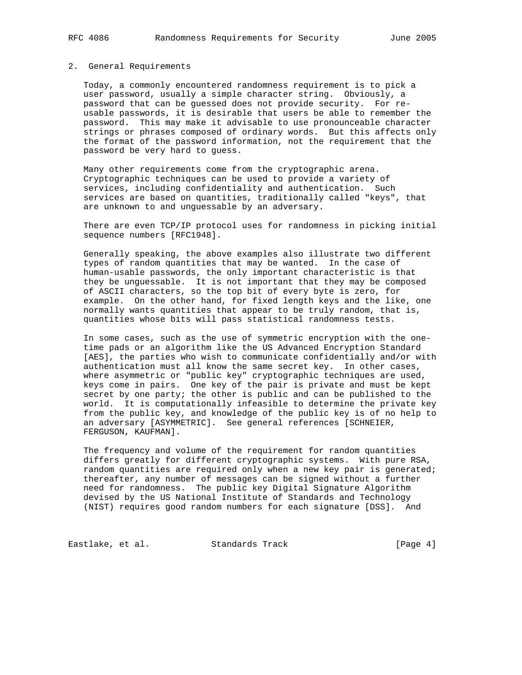#### 2. General Requirements

 Today, a commonly encountered randomness requirement is to pick a user password, usually a simple character string. Obviously, a password that can be guessed does not provide security. For re usable passwords, it is desirable that users be able to remember the password. This may make it advisable to use pronounceable character strings or phrases composed of ordinary words. But this affects only the format of the password information, not the requirement that the password be very hard to guess.

 Many other requirements come from the cryptographic arena. Cryptographic techniques can be used to provide a variety of services, including confidentiality and authentication. Such services are based on quantities, traditionally called "keys", that are unknown to and unguessable by an adversary.

 There are even TCP/IP protocol uses for randomness in picking initial sequence numbers [RFC1948].

 Generally speaking, the above examples also illustrate two different types of random quantities that may be wanted. In the case of human-usable passwords, the only important characteristic is that they be unguessable. It is not important that they may be composed of ASCII characters, so the top bit of every byte is zero, for example. On the other hand, for fixed length keys and the like, one normally wants quantities that appear to be truly random, that is, quantities whose bits will pass statistical randomness tests.

 In some cases, such as the use of symmetric encryption with the one time pads or an algorithm like the US Advanced Encryption Standard [AES], the parties who wish to communicate confidentially and/or with authentication must all know the same secret key. In other cases, where asymmetric or "public key" cryptographic techniques are used, keys come in pairs. One key of the pair is private and must be kept secret by one party; the other is public and can be published to the world. It is computationally infeasible to determine the private key from the public key, and knowledge of the public key is of no help to an adversary [ASYMMETRIC]. See general references [SCHNEIER, FERGUSON, KAUFMAN].

 The frequency and volume of the requirement for random quantities differs greatly for different cryptographic systems. With pure RSA, random quantities are required only when a new key pair is generated; thereafter, any number of messages can be signed without a further need for randomness. The public key Digital Signature Algorithm devised by the US National Institute of Standards and Technology (NIST) requires good random numbers for each signature [DSS]. And

Eastlake, et al. Standards Track [Page 4]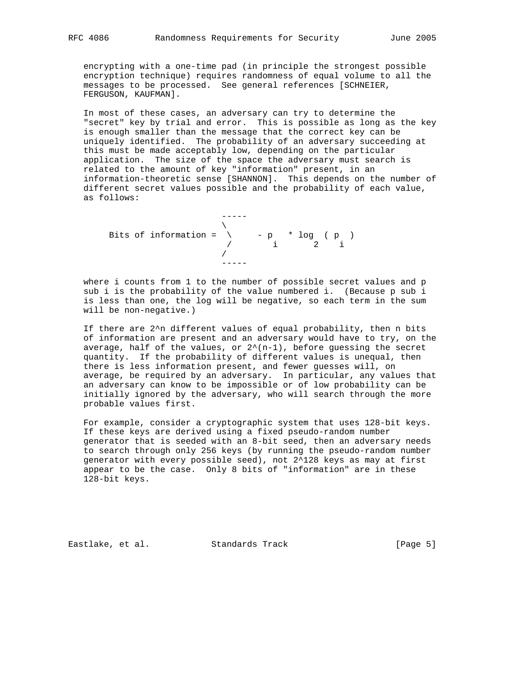encrypting with a one-time pad (in principle the strongest possible encryption technique) requires randomness of equal volume to all the messages to be processed. See general references [SCHNEIER, FERGUSON, KAUFMAN].

 In most of these cases, an adversary can try to determine the "secret" key by trial and error. This is possible as long as the key is enough smaller than the message that the correct key can be uniquely identified. The probability of an adversary succeeding at this must be made acceptably low, depending on the particular application. The size of the space the adversary must search is related to the amount of key "information" present, in an information-theoretic sense [SHANNON]. This depends on the number of different secret values possible and the probability of each value, as follows:

 ----- \ Bits of information =  $\qquad - p * log ( p )$  $/$  i 2 i / -----

 where i counts from 1 to the number of possible secret values and p sub i is the probability of the value numbered i. (Because p sub i is less than one, the log will be negative, so each term in the sum will be non-negative.)

 If there are 2^n different values of equal probability, then n bits of information are present and an adversary would have to try, on the average, half of the values, or  $2^{(n-1)}$ , before guessing the secret quantity. If the probability of different values is unequal, then there is less information present, and fewer guesses will, on average, be required by an adversary. In particular, any values that an adversary can know to be impossible or of low probability can be initially ignored by the adversary, who will search through the more probable values first.

 For example, consider a cryptographic system that uses 128-bit keys. If these keys are derived using a fixed pseudo-random number generator that is seeded with an 8-bit seed, then an adversary needs to search through only 256 keys (by running the pseudo-random number generator with every possible seed), not 2^128 keys as may at first appear to be the case. Only 8 bits of "information" are in these 128-bit keys.

Eastlake, et al. Standards Track [Page 5]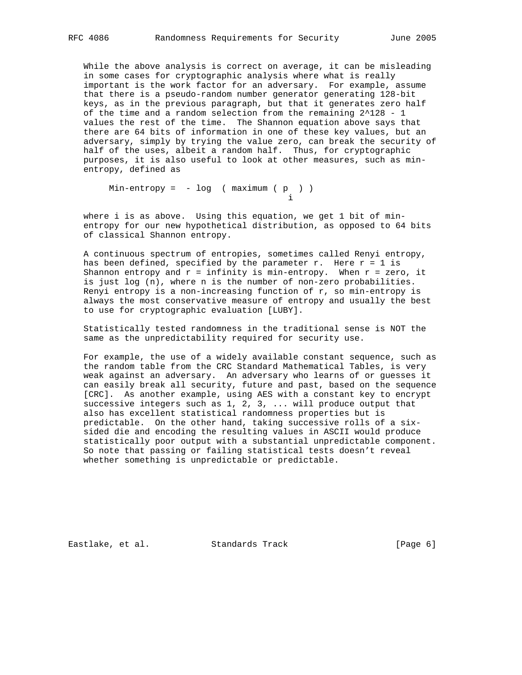While the above analysis is correct on average, it can be misleading in some cases for cryptographic analysis where what is really important is the work factor for an adversary. For example, assume that there is a pseudo-random number generator generating 128-bit keys, as in the previous paragraph, but that it generates zero half of the time and a random selection from the remaining 2^128 - 1 values the rest of the time. The Shannon equation above says that there are 64 bits of information in one of these key values, but an adversary, simply by trying the value zero, can break the security of half of the uses, albeit a random half. Thus, for cryptographic purposes, it is also useful to look at other measures, such as min entropy, defined as

 $Min-entropy = - log ( maximum ( p ) )$ i

 where i is as above. Using this equation, we get 1 bit of min entropy for our new hypothetical distribution, as opposed to 64 bits of classical Shannon entropy.

 A continuous spectrum of entropies, sometimes called Renyi entropy, has been defined, specified by the parameter r. Here  $r = 1$  is Shannon entropy and  $r = \inf_{x \in \mathbb{R}} r$  is min-entropy. When  $r = \text{zero}$ , it is just log (n), where n is the number of non-zero probabilities. Renyi entropy is a non-increasing function of  $r$ , so min-entropy is always the most conservative measure of entropy and usually the best to use for cryptographic evaluation [LUBY].

 Statistically tested randomness in the traditional sense is NOT the same as the unpredictability required for security use.

 For example, the use of a widely available constant sequence, such as the random table from the CRC Standard Mathematical Tables, is very weak against an adversary. An adversary who learns of or guesses it can easily break all security, future and past, based on the sequence [CRC]. As another example, using AES with a constant key to encrypt successive integers such as 1, 2, 3, ... will produce output that also has excellent statistical randomness properties but is predictable. On the other hand, taking successive rolls of a six sided die and encoding the resulting values in ASCII would produce statistically poor output with a substantial unpredictable component. So note that passing or failing statistical tests doesn't reveal whether something is unpredictable or predictable.

Eastlake, et al. Standards Track [Page 6]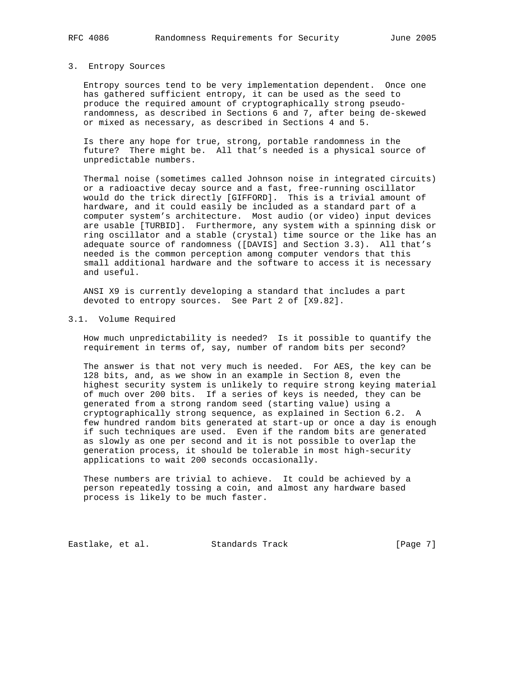#### 3. Entropy Sources

 Entropy sources tend to be very implementation dependent. Once one has gathered sufficient entropy, it can be used as the seed to produce the required amount of cryptographically strong pseudo randomness, as described in Sections 6 and 7, after being de-skewed or mixed as necessary, as described in Sections 4 and 5.

 Is there any hope for true, strong, portable randomness in the future? There might be. All that's needed is a physical source of unpredictable numbers.

 Thermal noise (sometimes called Johnson noise in integrated circuits) or a radioactive decay source and a fast, free-running oscillator would do the trick directly [GIFFORD]. This is a trivial amount of hardware, and it could easily be included as a standard part of a computer system's architecture. Most audio (or video) input devices are usable [TURBID]. Furthermore, any system with a spinning disk or ring oscillator and a stable (crystal) time source or the like has an adequate source of randomness ([DAVIS] and Section 3.3). All that's needed is the common perception among computer vendors that this small additional hardware and the software to access it is necessary and useful.

 ANSI X9 is currently developing a standard that includes a part devoted to entropy sources. See Part 2 of [X9.82].

#### 3.1. Volume Required

 How much unpredictability is needed? Is it possible to quantify the requirement in terms of, say, number of random bits per second?

 The answer is that not very much is needed. For AES, the key can be 128 bits, and, as we show in an example in Section 8, even the highest security system is unlikely to require strong keying material of much over 200 bits. If a series of keys is needed, they can be generated from a strong random seed (starting value) using a cryptographically strong sequence, as explained in Section 6.2. A few hundred random bits generated at start-up or once a day is enough if such techniques are used. Even if the random bits are generated as slowly as one per second and it is not possible to overlap the generation process, it should be tolerable in most high-security applications to wait 200 seconds occasionally.

 These numbers are trivial to achieve. It could be achieved by a person repeatedly tossing a coin, and almost any hardware based process is likely to be much faster.

Eastlake, et al. Standards Track [Page 7]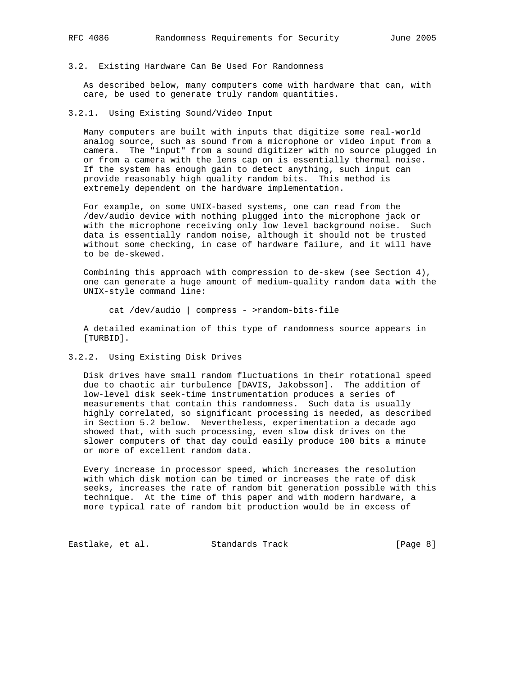### 3.2. Existing Hardware Can Be Used For Randomness

 As described below, many computers come with hardware that can, with care, be used to generate truly random quantities.

3.2.1. Using Existing Sound/Video Input

 Many computers are built with inputs that digitize some real-world analog source, such as sound from a microphone or video input from a camera. The "input" from a sound digitizer with no source plugged in or from a camera with the lens cap on is essentially thermal noise. If the system has enough gain to detect anything, such input can provide reasonably high quality random bits. This method is extremely dependent on the hardware implementation.

 For example, on some UNIX-based systems, one can read from the /dev/audio device with nothing plugged into the microphone jack or with the microphone receiving only low level background noise. Such data is essentially random noise, although it should not be trusted without some checking, in case of hardware failure, and it will have to be de-skewed.

 Combining this approach with compression to de-skew (see Section 4), one can generate a huge amount of medium-quality random data with the UNIX-style command line:

cat /dev/audio | compress - >random-bits-file

 A detailed examination of this type of randomness source appears in [TURBID].

3.2.2. Using Existing Disk Drives

 Disk drives have small random fluctuations in their rotational speed due to chaotic air turbulence [DAVIS, Jakobsson]. The addition of low-level disk seek-time instrumentation produces a series of measurements that contain this randomness. Such data is usually highly correlated, so significant processing is needed, as described in Section 5.2 below. Nevertheless, experimentation a decade ago showed that, with such processing, even slow disk drives on the slower computers of that day could easily produce 100 bits a minute or more of excellent random data.

 Every increase in processor speed, which increases the resolution with which disk motion can be timed or increases the rate of disk seeks, increases the rate of random bit generation possible with this technique. At the time of this paper and with modern hardware, a more typical rate of random bit production would be in excess of

Eastlake, et al. Standards Track [Page 8]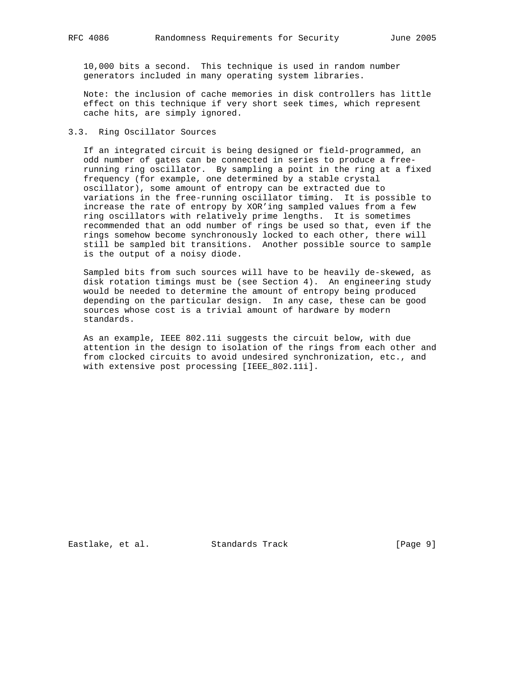10,000 bits a second. This technique is used in random number generators included in many operating system libraries.

 Note: the inclusion of cache memories in disk controllers has little effect on this technique if very short seek times, which represent cache hits, are simply ignored.

#### 3.3. Ring Oscillator Sources

 If an integrated circuit is being designed or field-programmed, an odd number of gates can be connected in series to produce a free running ring oscillator. By sampling a point in the ring at a fixed frequency (for example, one determined by a stable crystal oscillator), some amount of entropy can be extracted due to variations in the free-running oscillator timing. It is possible to increase the rate of entropy by XOR'ing sampled values from a few ring oscillators with relatively prime lengths. It is sometimes recommended that an odd number of rings be used so that, even if the rings somehow become synchronously locked to each other, there will still be sampled bit transitions. Another possible source to sample is the output of a noisy diode.

 Sampled bits from such sources will have to be heavily de-skewed, as disk rotation timings must be (see Section 4). An engineering study would be needed to determine the amount of entropy being produced depending on the particular design. In any case, these can be good sources whose cost is a trivial amount of hardware by modern standards.

 As an example, IEEE 802.11i suggests the circuit below, with due attention in the design to isolation of the rings from each other and from clocked circuits to avoid undesired synchronization, etc., and with extensive post processing [IEEE\_802.11i].

Eastlake, et al. Standards Track [Page 9]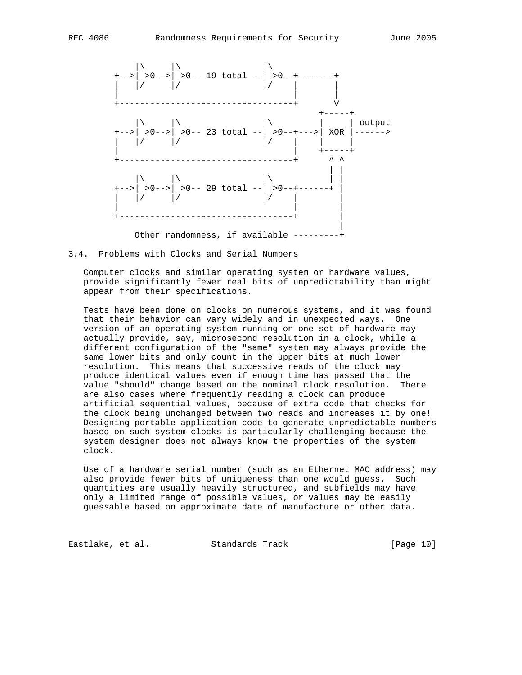

Other randomness, if available ---------+

#### 3.4. Problems with Clocks and Serial Numbers

 Computer clocks and similar operating system or hardware values, provide significantly fewer real bits of unpredictability than might appear from their specifications.

 Tests have been done on clocks on numerous systems, and it was found that their behavior can vary widely and in unexpected ways. One version of an operating system running on one set of hardware may actually provide, say, microsecond resolution in a clock, while a different configuration of the "same" system may always provide the same lower bits and only count in the upper bits at much lower resolution. This means that successive reads of the clock may produce identical values even if enough time has passed that the value "should" change based on the nominal clock resolution. There are also cases where frequently reading a clock can produce artificial sequential values, because of extra code that checks for the clock being unchanged between two reads and increases it by one! Designing portable application code to generate unpredictable numbers based on such system clocks is particularly challenging because the system designer does not always know the properties of the system clock.

 Use of a hardware serial number (such as an Ethernet MAC address) may also provide fewer bits of uniqueness than one would guess. Such quantities are usually heavily structured, and subfields may have only a limited range of possible values, or values may be easily guessable based on approximate date of manufacture or other data.

Eastlake, et al. Standards Track [Page 10]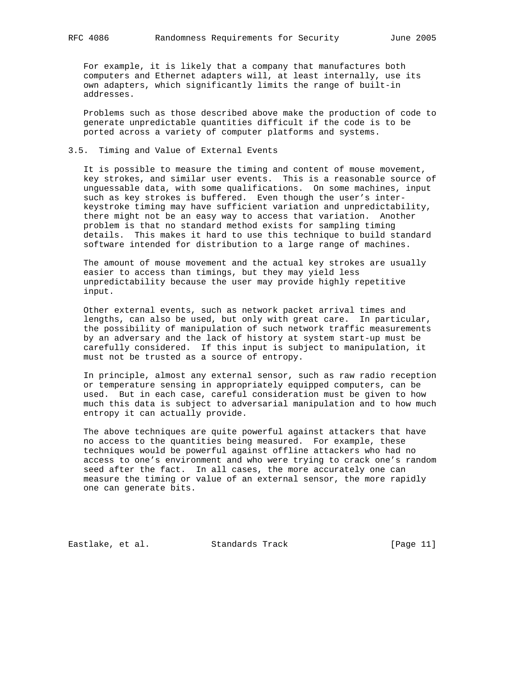For example, it is likely that a company that manufactures both computers and Ethernet adapters will, at least internally, use its own adapters, which significantly limits the range of built-in addresses.

 Problems such as those described above make the production of code to generate unpredictable quantities difficult if the code is to be ported across a variety of computer platforms and systems.

## 3.5. Timing and Value of External Events

 It is possible to measure the timing and content of mouse movement, key strokes, and similar user events. This is a reasonable source of unguessable data, with some qualifications. On some machines, input such as key strokes is buffered. Even though the user's inter keystroke timing may have sufficient variation and unpredictability, there might not be an easy way to access that variation. Another problem is that no standard method exists for sampling timing details. This makes it hard to use this technique to build standard software intended for distribution to a large range of machines.

 The amount of mouse movement and the actual key strokes are usually easier to access than timings, but they may yield less unpredictability because the user may provide highly repetitive input.

 Other external events, such as network packet arrival times and lengths, can also be used, but only with great care. In particular, the possibility of manipulation of such network traffic measurements by an adversary and the lack of history at system start-up must be carefully considered. If this input is subject to manipulation, it must not be trusted as a source of entropy.

 In principle, almost any external sensor, such as raw radio reception or temperature sensing in appropriately equipped computers, can be used. But in each case, careful consideration must be given to how much this data is subject to adversarial manipulation and to how much entropy it can actually provide.

 The above techniques are quite powerful against attackers that have no access to the quantities being measured. For example, these techniques would be powerful against offline attackers who had no access to one's environment and who were trying to crack one's random seed after the fact. In all cases, the more accurately one can measure the timing or value of an external sensor, the more rapidly one can generate bits.

Eastlake, et al. Standards Track [Page 11]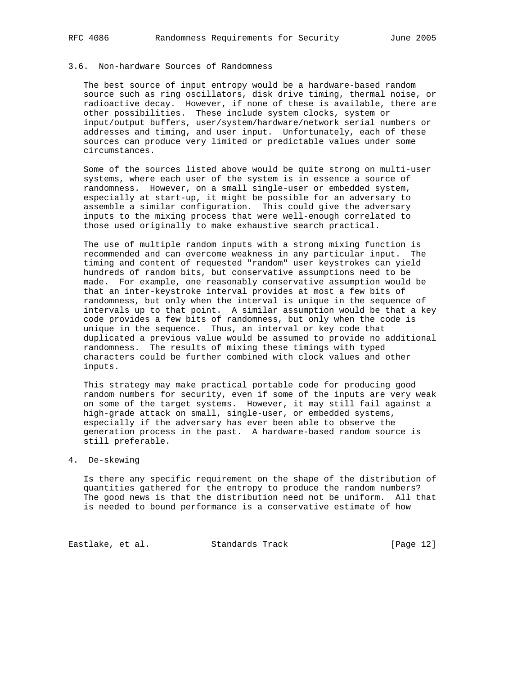## 3.6. Non-hardware Sources of Randomness

 The best source of input entropy would be a hardware-based random source such as ring oscillators, disk drive timing, thermal noise, or radioactive decay. However, if none of these is available, there are other possibilities. These include system clocks, system or input/output buffers, user/system/hardware/network serial numbers or addresses and timing, and user input. Unfortunately, each of these sources can produce very limited or predictable values under some circumstances.

 Some of the sources listed above would be quite strong on multi-user systems, where each user of the system is in essence a source of randomness. However, on a small single-user or embedded system, especially at start-up, it might be possible for an adversary to assemble a similar configuration. This could give the adversary inputs to the mixing process that were well-enough correlated to those used originally to make exhaustive search practical.

 The use of multiple random inputs with a strong mixing function is recommended and can overcome weakness in any particular input. The timing and content of requested "random" user keystrokes can yield hundreds of random bits, but conservative assumptions need to be made. For example, one reasonably conservative assumption would be that an inter-keystroke interval provides at most a few bits of randomness, but only when the interval is unique in the sequence of intervals up to that point. A similar assumption would be that a key code provides a few bits of randomness, but only when the code is unique in the sequence. Thus, an interval or key code that duplicated a previous value would be assumed to provide no additional randomness. The results of mixing these timings with typed characters could be further combined with clock values and other inputs.

 This strategy may make practical portable code for producing good random numbers for security, even if some of the inputs are very weak on some of the target systems. However, it may still fail against a high-grade attack on small, single-user, or embedded systems, especially if the adversary has ever been able to observe the generation process in the past. A hardware-based random source is still preferable.

## 4. De-skewing

 Is there any specific requirement on the shape of the distribution of quantities gathered for the entropy to produce the random numbers? The good news is that the distribution need not be uniform. All that is needed to bound performance is a conservative estimate of how

Eastlake, et al. Standards Track [Page 12]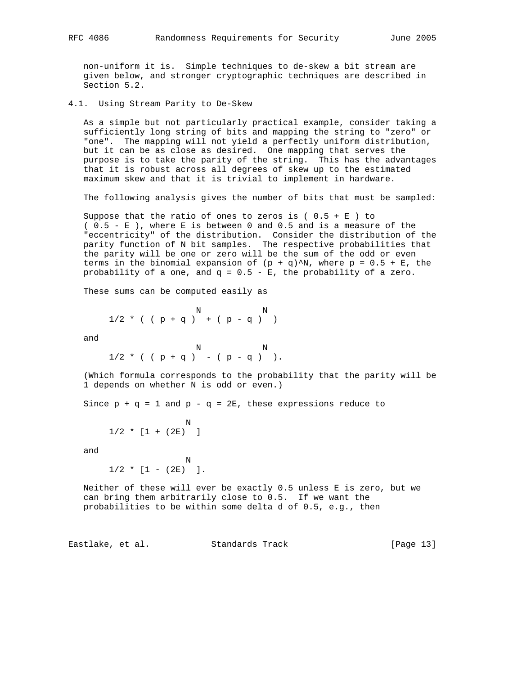non-uniform it is. Simple techniques to de-skew a bit stream are given below, and stronger cryptographic techniques are described in Section 5.2.

4.1. Using Stream Parity to De-Skew

 As a simple but not particularly practical example, consider taking a sufficiently long string of bits and mapping the string to "zero" or "one". The mapping will not yield a perfectly uniform distribution, but it can be as close as desired. One mapping that serves the purpose is to take the parity of the string. This has the advantages that it is robust across all degrees of skew up to the estimated maximum skew and that it is trivial to implement in hardware.

The following analysis gives the number of bits that must be sampled:

Suppose that the ratio of ones to zeros is ( $0.5 + E$ ) to ( 0.5 - E ), where E is between 0 and 0.5 and is a measure of the "eccentricity" of the distribution. Consider the distribution of the parity function of N bit samples. The respective probabilities that the parity will be one or zero will be the sum of the odd or even terms in the binomial expansion of  $(p + q)^N$ , where  $p = 0.5 + E$ , the probability of a one, and  $q = 0.5 - E$ , the probability of a zero.

These sums can be computed easily as

$$
\begin{array}{ccccccccc}\n & & & & & & & N & & & & N \\
1/2 & * & ( & p + q & ) & + ( & p - q & ) & )\n\end{array}
$$

and

 N N  $1/2$  \* ( (  $p + q$  ) – (  $p - q$  ) ).

 (Which formula corresponds to the probability that the parity will be 1 depends on whether N is odd or even.)

Since  $p + q = 1$  and  $p - q = 2E$ , these expressions reduce to

$$
1/2 * [1 + (2E)]
$$

and

 N  $1/2$  \*  $[1 - (2E) ]$ .

 Neither of these will ever be exactly 0.5 unless E is zero, but we can bring them arbitrarily close to 0.5. If we want the probabilities to be within some delta d of 0.5, e.g., then

Eastlake, et al. Standards Track [Page 13]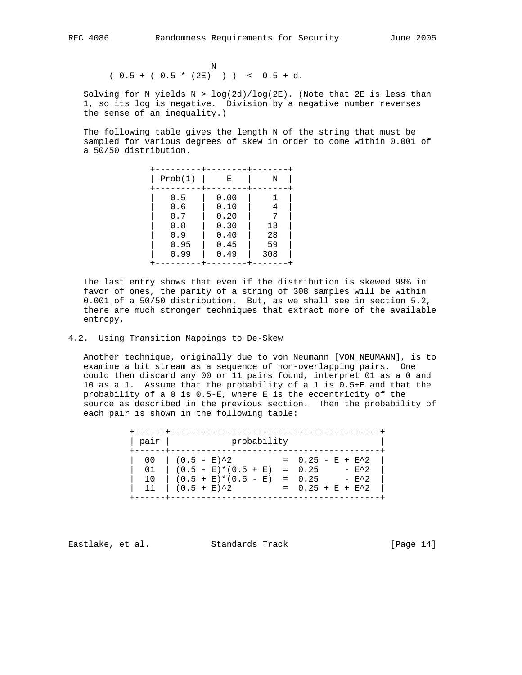Note that the state of the state of the state of the state of the state of the state of the state of the state of the state of the state of the state of the state of the state of the state of the state of the state of the  $(0.5 + (0.5 * (2E)) )$   $(0.5 + d.$ 

Solving for N yields  $N > log(2d)/log(2E)$ . (Note that  $2E$  is less than 1, so its log is negative. Division by a negative number reverses the sense of an inequality.)

 The following table gives the length N of the string that must be sampled for various degrees of skew in order to come within 0.001 of a 50/50 distribution.

| Prob(1) |      |      | Ε |     | Ν |
|---------|------|------|---|-----|---|
|         | 0.5  | 0.00 |   |     |   |
|         | 0.6  | 0.10 |   |     | 4 |
|         | 0.7  | 0.20 |   |     |   |
|         | 0.8  | 0.30 |   | 13  |   |
|         | 0.9  | 0.40 |   | 28  |   |
|         | 0.95 | 0.45 |   | 59  |   |
|         | 0.99 | 0.49 |   | 308 |   |
|         |      |      |   |     |   |

 The last entry shows that even if the distribution is skewed 99% in favor of ones, the parity of a string of 308 samples will be within 0.001 of a 50/50 distribution. But, as we shall see in section 5.2, there are much stronger techniques that extract more of the available entropy.

#### 4.2. Using Transition Mappings to De-Skew

 Another technique, originally due to von Neumann [VON\_NEUMANN], is to examine a bit stream as a sequence of non-overlapping pairs. One could then discard any 00 or 11 pairs found, interpret 01 as a 0 and 10 as a 1. Assume that the probability of a 1 is 0.5+E and that the probability of a 0 is 0.5-E, where E is the eccentricity of the source as described in the previous section. Then the probability of each pair is shown in the following table:

> +------+-----------------------------------------+ | pair | probability +------+-----------------------------------------+  $00$  |  $(0.5 - E)^2$  = 0.25 - E + E<sup>2</sup>  $01$  |  $(0.5 - E)*(0.5 + E) = 0.25 - E^2$  $10$   $(0.5 + E)*(0.5 - E) = 0.25 - E^2$  | 11 | (0.5 + E)^2 = 0.25 + E + E^2 | +------+-----------------------------------------+

Eastlake, et al. Standards Track [Page 14]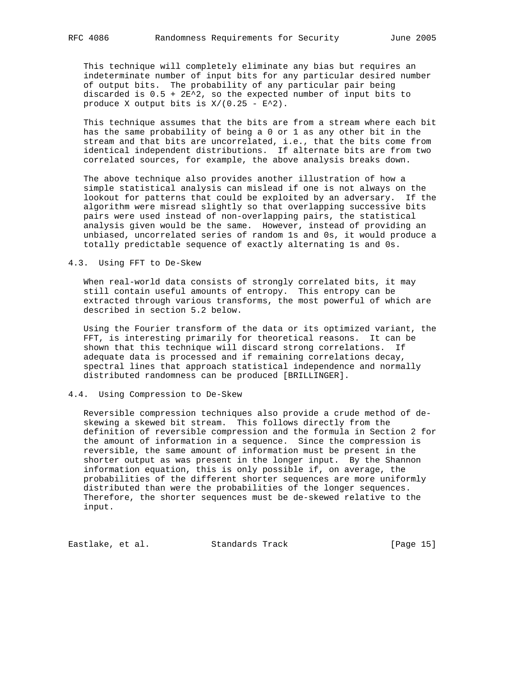This technique will completely eliminate any bias but requires an indeterminate number of input bits for any particular desired number of output bits. The probability of any particular pair being discarded is  $0.5 + 2E^2$ , so the expected number of input bits to produce X output bits is  $X/(0.25 - E^2)$ .

 This technique assumes that the bits are from a stream where each bit has the same probability of being a 0 or 1 as any other bit in the stream and that bits are uncorrelated, i.e., that the bits come from identical independent distributions. If alternate bits are from two correlated sources, for example, the above analysis breaks down.

 The above technique also provides another illustration of how a simple statistical analysis can mislead if one is not always on the lookout for patterns that could be exploited by an adversary. If the algorithm were misread slightly so that overlapping successive bits pairs were used instead of non-overlapping pairs, the statistical analysis given would be the same. However, instead of providing an unbiased, uncorrelated series of random 1s and 0s, it would produce a totally predictable sequence of exactly alternating 1s and 0s.

#### 4.3. Using FFT to De-Skew

 When real-world data consists of strongly correlated bits, it may still contain useful amounts of entropy. This entropy can be extracted through various transforms, the most powerful of which are described in section 5.2 below.

 Using the Fourier transform of the data or its optimized variant, the FFT, is interesting primarily for theoretical reasons. It can be shown that this technique will discard strong correlations. If adequate data is processed and if remaining correlations decay, spectral lines that approach statistical independence and normally distributed randomness can be produced [BRILLINGER].

## 4.4. Using Compression to De-Skew

 Reversible compression techniques also provide a crude method of de skewing a skewed bit stream. This follows directly from the definition of reversible compression and the formula in Section 2 for the amount of information in a sequence. Since the compression is reversible, the same amount of information must be present in the shorter output as was present in the longer input. By the Shannon information equation, this is only possible if, on average, the probabilities of the different shorter sequences are more uniformly distributed than were the probabilities of the longer sequences. Therefore, the shorter sequences must be de-skewed relative to the input.

Eastlake, et al. Standards Track [Page 15]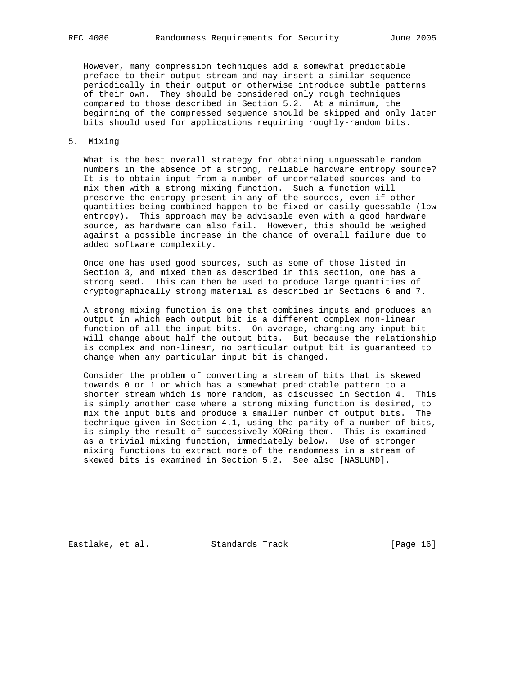However, many compression techniques add a somewhat predictable preface to their output stream and may insert a similar sequence periodically in their output or otherwise introduce subtle patterns of their own. They should be considered only rough techniques compared to those described in Section 5.2. At a minimum, the beginning of the compressed sequence should be skipped and only later bits should used for applications requiring roughly-random bits.

## 5. Mixing

 What is the best overall strategy for obtaining unguessable random numbers in the absence of a strong, reliable hardware entropy source? It is to obtain input from a number of uncorrelated sources and to mix them with a strong mixing function. Such a function will preserve the entropy present in any of the sources, even if other quantities being combined happen to be fixed or easily guessable (low entropy). This approach may be advisable even with a good hardware source, as hardware can also fail. However, this should be weighed against a possible increase in the chance of overall failure due to added software complexity.

 Once one has used good sources, such as some of those listed in Section 3, and mixed them as described in this section, one has a strong seed. This can then be used to produce large quantities of cryptographically strong material as described in Sections 6 and 7.

 A strong mixing function is one that combines inputs and produces an output in which each output bit is a different complex non-linear function of all the input bits. On average, changing any input bit will change about half the output bits. But because the relationship is complex and non-linear, no particular output bit is guaranteed to change when any particular input bit is changed.

 Consider the problem of converting a stream of bits that is skewed towards 0 or 1 or which has a somewhat predictable pattern to a shorter stream which is more random, as discussed in Section 4. This is simply another case where a strong mixing function is desired, to mix the input bits and produce a smaller number of output bits. The technique given in Section 4.1, using the parity of a number of bits, is simply the result of successively XORing them. This is examined as a trivial mixing function, immediately below. Use of stronger mixing functions to extract more of the randomness in a stream of skewed bits is examined in Section 5.2. See also [NASLUND].

Eastlake, et al. Standards Track [Page 16]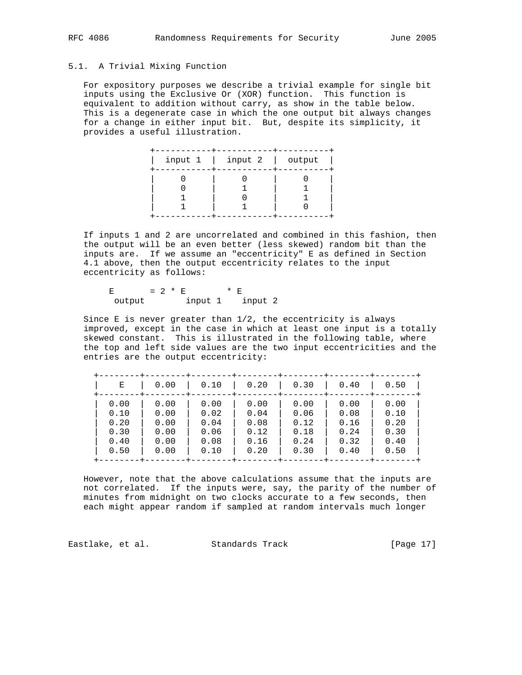## 5.1. A Trivial Mixing Function

 For expository purposes we describe a trivial example for single bit inputs using the Exclusive Or (XOR) function. This function is equivalent to addition without carry, as show in the table below. This is a degenerate case in which the one output bit always changes for a change in either input bit. But, despite its simplicity, it provides a useful illustration.

|  | input $1 \mid$ input $2 \mid$ output |  |
|--|--------------------------------------|--|
|  |                                      |  |

 If inputs 1 and 2 are uncorrelated and combined in this fashion, then the output will be an even better (less skewed) random bit than the inputs are. If we assume an "eccentricity" E as defined in Section 4.1 above, then the output eccentricity relates to the input eccentricity as follows:

E =  $2 * E$  \* E output input 1 input 2

Since E is never greater than  $1/2$ , the eccentricity is always improved, except in the case in which at least one input is a totally skewed constant. This is illustrated in the following table, where the top and left side values are the two input eccentricities and the entries are the output eccentricity:

 +--------+--------+--------+--------+--------+--------+--------+ | E | 0.00 | 0.10 | 0.20 | 0.30 | 0.40 | 0.50 | +--------+--------+--------+--------+--------+--------+--------+ | 0.00 | 0.00 | 0.00 | 0.00 | 0.00 | 0.00 | 0.00 | | 0.10 | 0.00 | 0.02 | 0.04 | 0.06 | 0.08 | 0.10 | | 0.20 | 0.00 | 0.04 | 0.08 | 0.12 | 0.16 | 0.20 | | 0.30 | 0.00 | 0.06 | 0.12 | 0.18 | 0.24 | 0.30 | | 0.40 | 0.00 | 0.08 | 0.16 | 0.24 | 0.32 | 0.40 | | 0.50 | 0.00 | 0.10 | 0.20 | 0.30 | 0.40 | 0.50 | +--------+--------+--------+--------+--------+--------+--------+

 However, note that the above calculations assume that the inputs are not correlated. If the inputs were, say, the parity of the number of minutes from midnight on two clocks accurate to a few seconds, then each might appear random if sampled at random intervals much longer

Eastlake, et al. Standards Track [Page 17]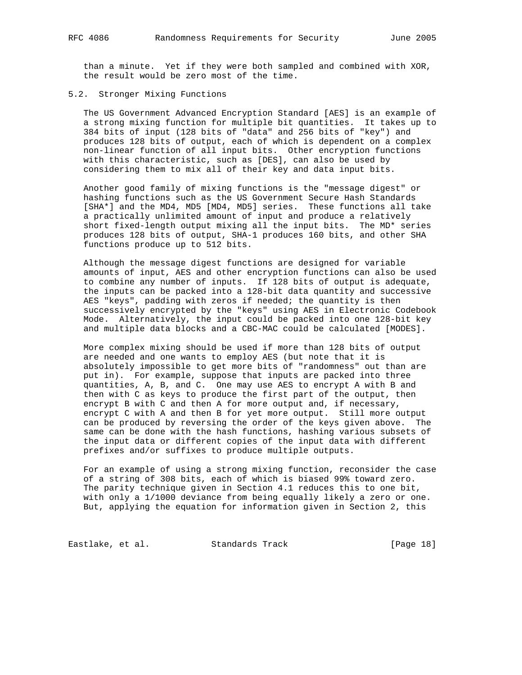than a minute. Yet if they were both sampled and combined with XOR, the result would be zero most of the time.

#### 5.2. Stronger Mixing Functions

 The US Government Advanced Encryption Standard [AES] is an example of a strong mixing function for multiple bit quantities. It takes up to 384 bits of input (128 bits of "data" and 256 bits of "key") and produces 128 bits of output, each of which is dependent on a complex non-linear function of all input bits. Other encryption functions with this characteristic, such as [DES], can also be used by considering them to mix all of their key and data input bits.

 Another good family of mixing functions is the "message digest" or hashing functions such as the US Government Secure Hash Standards [SHA\*] and the MD4, MD5 [MD4, MD5] series. These functions all take a practically unlimited amount of input and produce a relatively short fixed-length output mixing all the input bits. The MD\* series produces 128 bits of output, SHA-1 produces 160 bits, and other SHA functions produce up to 512 bits.

 Although the message digest functions are designed for variable amounts of input, AES and other encryption functions can also be used to combine any number of inputs. If 128 bits of output is adequate, the inputs can be packed into a 128-bit data quantity and successive AES "keys", padding with zeros if needed; the quantity is then successively encrypted by the "keys" using AES in Electronic Codebook Mode. Alternatively, the input could be packed into one 128-bit key and multiple data blocks and a CBC-MAC could be calculated [MODES].

 More complex mixing should be used if more than 128 bits of output are needed and one wants to employ AES (but note that it is absolutely impossible to get more bits of "randomness" out than are put in). For example, suppose that inputs are packed into three quantities, A, B, and C. One may use AES to encrypt A with B and then with C as keys to produce the first part of the output, then encrypt B with C and then A for more output and, if necessary, encrypt C with A and then B for yet more output. Still more output can be produced by reversing the order of the keys given above. The same can be done with the hash functions, hashing various subsets of the input data or different copies of the input data with different prefixes and/or suffixes to produce multiple outputs.

 For an example of using a strong mixing function, reconsider the case of a string of 308 bits, each of which is biased 99% toward zero. The parity technique given in Section 4.1 reduces this to one bit, with only a 1/1000 deviance from being equally likely a zero or one. But, applying the equation for information given in Section 2, this

Eastlake, et al. Standards Track [Page 18]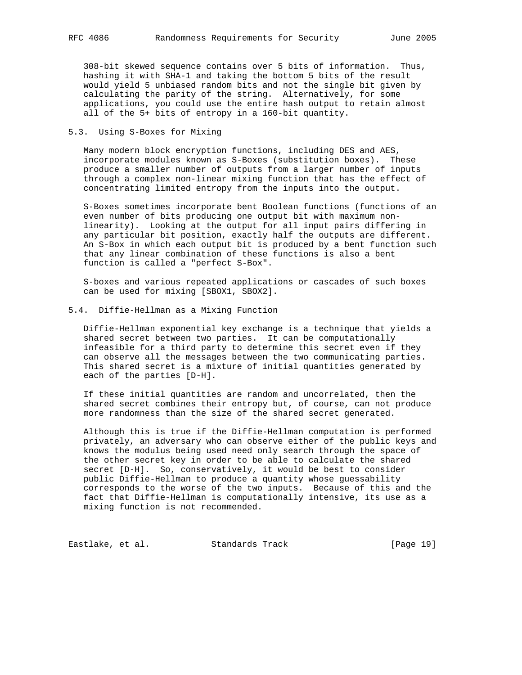308-bit skewed sequence contains over 5 bits of information. Thus, hashing it with SHA-1 and taking the bottom 5 bits of the result would yield 5 unbiased random bits and not the single bit given by calculating the parity of the string. Alternatively, for some applications, you could use the entire hash output to retain almost all of the 5+ bits of entropy in a 160-bit quantity.

## 5.3. Using S-Boxes for Mixing

 Many modern block encryption functions, including DES and AES, incorporate modules known as S-Boxes (substitution boxes). These produce a smaller number of outputs from a larger number of inputs through a complex non-linear mixing function that has the effect of concentrating limited entropy from the inputs into the output.

 S-Boxes sometimes incorporate bent Boolean functions (functions of an even number of bits producing one output bit with maximum non linearity). Looking at the output for all input pairs differing in any particular bit position, exactly half the outputs are different. An S-Box in which each output bit is produced by a bent function such that any linear combination of these functions is also a bent function is called a "perfect S-Box".

 S-boxes and various repeated applications or cascades of such boxes can be used for mixing [SBOX1, SBOX2].

## 5.4. Diffie-Hellman as a Mixing Function

 Diffie-Hellman exponential key exchange is a technique that yields a shared secret between two parties. It can be computationally infeasible for a third party to determine this secret even if they can observe all the messages between the two communicating parties. This shared secret is a mixture of initial quantities generated by each of the parties [D-H].

 If these initial quantities are random and uncorrelated, then the shared secret combines their entropy but, of course, can not produce more randomness than the size of the shared secret generated.

 Although this is true if the Diffie-Hellman computation is performed privately, an adversary who can observe either of the public keys and knows the modulus being used need only search through the space of the other secret key in order to be able to calculate the shared secret [D-H]. So, conservatively, it would be best to consider public Diffie-Hellman to produce a quantity whose guessability corresponds to the worse of the two inputs. Because of this and the fact that Diffie-Hellman is computationally intensive, its use as a mixing function is not recommended.

Eastlake, et al. Standards Track [Page 19]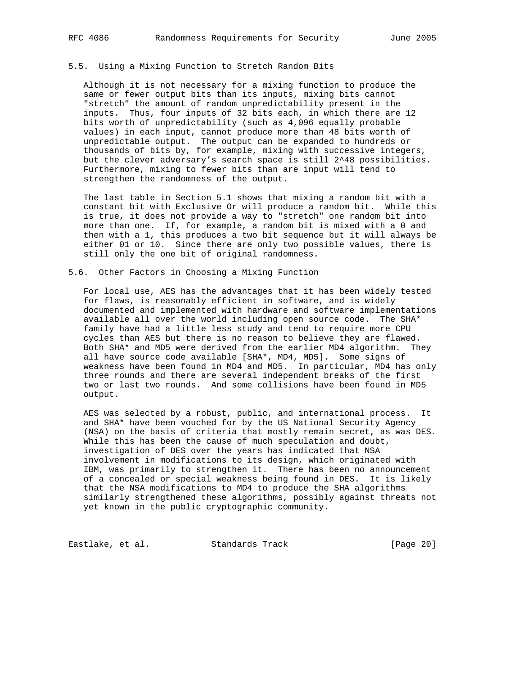## 5.5. Using a Mixing Function to Stretch Random Bits

 Although it is not necessary for a mixing function to produce the same or fewer output bits than its inputs, mixing bits cannot "stretch" the amount of random unpredictability present in the inputs. Thus, four inputs of 32 bits each, in which there are 12 bits worth of unpredictability (such as 4,096 equally probable values) in each input, cannot produce more than 48 bits worth of unpredictable output. The output can be expanded to hundreds or thousands of bits by, for example, mixing with successive integers, but the clever adversary's search space is still 2^48 possibilities. Furthermore, mixing to fewer bits than are input will tend to strengthen the randomness of the output.

 The last table in Section 5.1 shows that mixing a random bit with a constant bit with Exclusive Or will produce a random bit. While this is true, it does not provide a way to "stretch" one random bit into more than one. If, for example, a random bit is mixed with a 0 and then with a 1, this produces a two bit sequence but it will always be either 01 or 10. Since there are only two possible values, there is still only the one bit of original randomness.

#### 5.6. Other Factors in Choosing a Mixing Function

 For local use, AES has the advantages that it has been widely tested for flaws, is reasonably efficient in software, and is widely documented and implemented with hardware and software implementations available all over the world including open source code. The SHA\* family have had a little less study and tend to require more CPU cycles than AES but there is no reason to believe they are flawed. Both SHA\* and MD5 were derived from the earlier MD4 algorithm. They all have source code available [SHA\*, MD4, MD5]. Some signs of weakness have been found in MD4 and MD5. In particular, MD4 has only three rounds and there are several independent breaks of the first two or last two rounds. And some collisions have been found in MD5 output.

 AES was selected by a robust, public, and international process. It and SHA\* have been vouched for by the US National Security Agency (NSA) on the basis of criteria that mostly remain secret, as was DES. While this has been the cause of much speculation and doubt, investigation of DES over the years has indicated that NSA involvement in modifications to its design, which originated with IBM, was primarily to strengthen it. There has been no announcement of a concealed or special weakness being found in DES. It is likely that the NSA modifications to MD4 to produce the SHA algorithms similarly strengthened these algorithms, possibly against threats not yet known in the public cryptographic community.

Eastlake, et al. Standards Track [Page 20]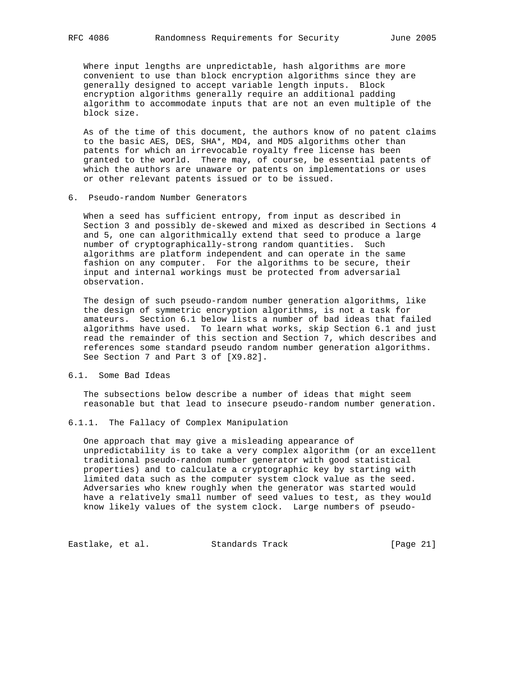Where input lengths are unpredictable, hash algorithms are more convenient to use than block encryption algorithms since they are generally designed to accept variable length inputs. Block encryption algorithms generally require an additional padding algorithm to accommodate inputs that are not an even multiple of the block size.

 As of the time of this document, the authors know of no patent claims to the basic AES, DES, SHA\*, MD4, and MD5 algorithms other than patents for which an irrevocable royalty free license has been granted to the world. There may, of course, be essential patents of which the authors are unaware or patents on implementations or uses or other relevant patents issued or to be issued.

6. Pseudo-random Number Generators

 When a seed has sufficient entropy, from input as described in Section 3 and possibly de-skewed and mixed as described in Sections 4 and 5, one can algorithmically extend that seed to produce a large number of cryptographically-strong random quantities. Such algorithms are platform independent and can operate in the same fashion on any computer. For the algorithms to be secure, their input and internal workings must be protected from adversarial observation.

 The design of such pseudo-random number generation algorithms, like the design of symmetric encryption algorithms, is not a task for amateurs. Section 6.1 below lists a number of bad ideas that failed algorithms have used. To learn what works, skip Section 6.1 and just read the remainder of this section and Section 7, which describes and references some standard pseudo random number generation algorithms. See Section 7 and Part 3 of [X9.82].

### 6.1. Some Bad Ideas

 The subsections below describe a number of ideas that might seem reasonable but that lead to insecure pseudo-random number generation.

6.1.1. The Fallacy of Complex Manipulation

 One approach that may give a misleading appearance of unpredictability is to take a very complex algorithm (or an excellent traditional pseudo-random number generator with good statistical properties) and to calculate a cryptographic key by starting with limited data such as the computer system clock value as the seed. Adversaries who knew roughly when the generator was started would have a relatively small number of seed values to test, as they would know likely values of the system clock. Large numbers of pseudo-

Eastlake, et al. Standards Track [Page 21]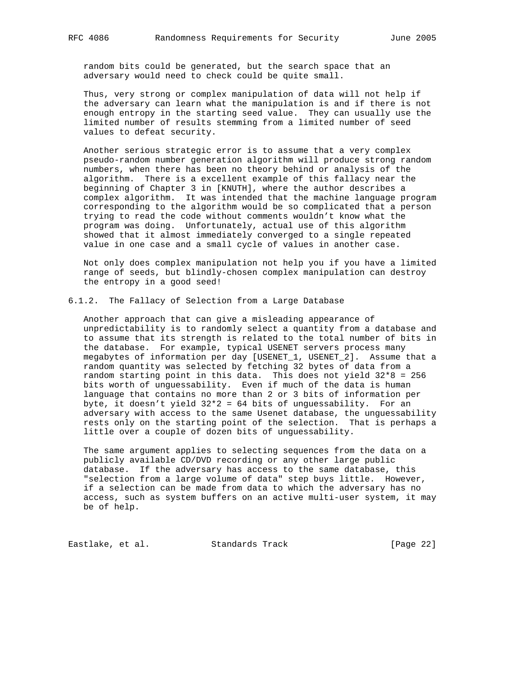random bits could be generated, but the search space that an adversary would need to check could be quite small.

 Thus, very strong or complex manipulation of data will not help if the adversary can learn what the manipulation is and if there is not enough entropy in the starting seed value. They can usually use the limited number of results stemming from a limited number of seed values to defeat security.

 Another serious strategic error is to assume that a very complex pseudo-random number generation algorithm will produce strong random numbers, when there has been no theory behind or analysis of the algorithm. There is a excellent example of this fallacy near the beginning of Chapter 3 in [KNUTH], where the author describes a complex algorithm. It was intended that the machine language program corresponding to the algorithm would be so complicated that a person trying to read the code without comments wouldn't know what the program was doing. Unfortunately, actual use of this algorithm showed that it almost immediately converged to a single repeated value in one case and a small cycle of values in another case.

 Not only does complex manipulation not help you if you have a limited range of seeds, but blindly-chosen complex manipulation can destroy the entropy in a good seed!

6.1.2. The Fallacy of Selection from a Large Database

 Another approach that can give a misleading appearance of unpredictability is to randomly select a quantity from a database and to assume that its strength is related to the total number of bits in the database. For example, typical USENET servers process many megabytes of information per day [USENET\_1, USENET\_2]. Assume that a random quantity was selected by fetching 32 bytes of data from a random starting point in this data. This does not yield 32\*8 = 256 bits worth of unguessability. Even if much of the data is human language that contains no more than 2 or 3 bits of information per byte, it doesn't yield  $32*2 = 64$  bits of unguessability. For an adversary with access to the same Usenet database, the unguessability rests only on the starting point of the selection. That is perhaps a little over a couple of dozen bits of unguessability.

 The same argument applies to selecting sequences from the data on a publicly available CD/DVD recording or any other large public database. If the adversary has access to the same database, this "selection from a large volume of data" step buys little. However, if a selection can be made from data to which the adversary has no access, such as system buffers on an active multi-user system, it may be of help.

Eastlake, et al. Standards Track [Page 22]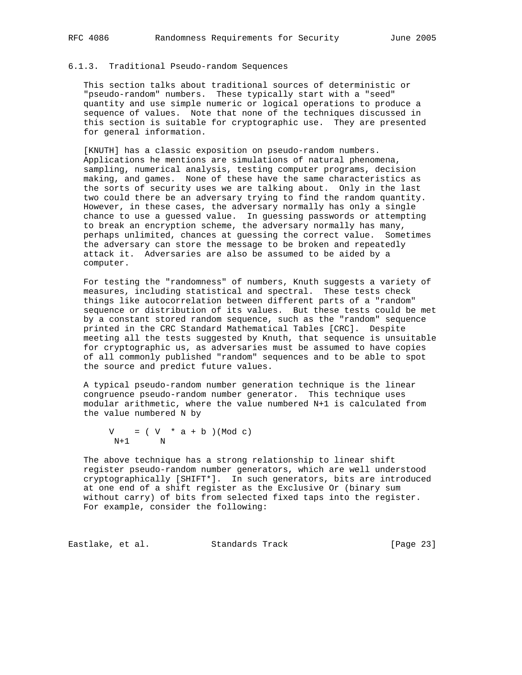## 6.1.3. Traditional Pseudo-random Sequences

 This section talks about traditional sources of deterministic or "pseudo-random" numbers. These typically start with a "seed" quantity and use simple numeric or logical operations to produce a sequence of values. Note that none of the techniques discussed in this section is suitable for cryptographic use. They are presented for general information.

 [KNUTH] has a classic exposition on pseudo-random numbers. Applications he mentions are simulations of natural phenomena, sampling, numerical analysis, testing computer programs, decision making, and games. None of these have the same characteristics as the sorts of security uses we are talking about. Only in the last two could there be an adversary trying to find the random quantity. However, in these cases, the adversary normally has only a single chance to use a guessed value. In guessing passwords or attempting to break an encryption scheme, the adversary normally has many, perhaps unlimited, chances at guessing the correct value. Sometimes the adversary can store the message to be broken and repeatedly attack it. Adversaries are also be assumed to be aided by a computer.

 For testing the "randomness" of numbers, Knuth suggests a variety of measures, including statistical and spectral. These tests check things like autocorrelation between different parts of a "random" sequence or distribution of its values. But these tests could be met by a constant stored random sequence, such as the "random" sequence printed in the CRC Standard Mathematical Tables [CRC]. Despite meeting all the tests suggested by Knuth, that sequence is unsuitable for cryptographic us, as adversaries must be assumed to have copies of all commonly published "random" sequences and to be able to spot the source and predict future values.

 A typical pseudo-random number generation technique is the linear congruence pseudo-random number generator. This technique uses modular arithmetic, where the value numbered N+1 is calculated from the value numbered N by

 $V = (V * a + b) (Mod c)$ <br>N+1 N  $N+1$ 

 The above technique has a strong relationship to linear shift register pseudo-random number generators, which are well understood cryptographically [SHIFT\*]. In such generators, bits are introduced at one end of a shift register as the Exclusive Or (binary sum without carry) of bits from selected fixed taps into the register. For example, consider the following:

Eastlake, et al. Standards Track [Page 23]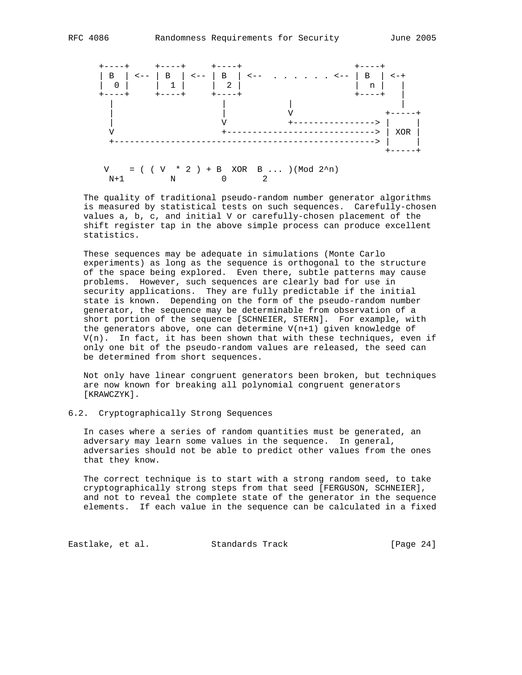

 The quality of traditional pseudo-random number generator algorithms is measured by statistical tests on such sequences. Carefully-chosen values a, b, c, and initial V or carefully-chosen placement of the shift register tap in the above simple process can produce excellent statistics.

 These sequences may be adequate in simulations (Monte Carlo experiments) as long as the sequence is orthogonal to the structure of the space being explored. Even there, subtle patterns may cause problems. However, such sequences are clearly bad for use in security applications. They are fully predictable if the initial state is known. Depending on the form of the pseudo-random number generator, the sequence may be determinable from observation of a short portion of the sequence [SCHNEIER, STERN]. For example, with the generators above, one can determine V(n+1) given knowledge of V(n). In fact, it has been shown that with these techniques, even if only one bit of the pseudo-random values are released, the seed can be determined from short sequences.

 Not only have linear congruent generators been broken, but techniques are now known for breaking all polynomial congruent generators [KRAWCZYK].

## 6.2. Cryptographically Strong Sequences

 In cases where a series of random quantities must be generated, an adversary may learn some values in the sequence. In general, adversaries should not be able to predict other values from the ones that they know.

 The correct technique is to start with a strong random seed, to take cryptographically strong steps from that seed [FERGUSON, SCHNEIER], and not to reveal the complete state of the generator in the sequence elements. If each value in the sequence can be calculated in a fixed

Eastlake, et al. Standards Track [Page 24]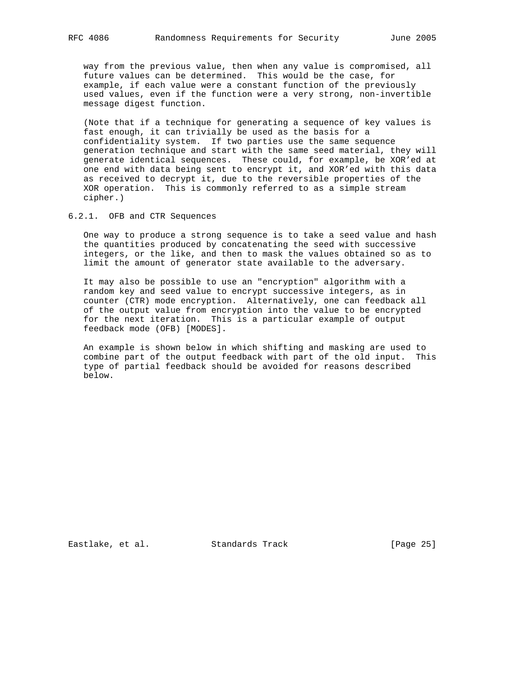way from the previous value, then when any value is compromised, all future values can be determined. This would be the case, for example, if each value were a constant function of the previously used values, even if the function were a very strong, non-invertible message digest function.

 (Note that if a technique for generating a sequence of key values is fast enough, it can trivially be used as the basis for a confidentiality system. If two parties use the same sequence generation technique and start with the same seed material, they will generate identical sequences. These could, for example, be XOR'ed at one end with data being sent to encrypt it, and XOR'ed with this data as received to decrypt it, due to the reversible properties of the XOR operation. This is commonly referred to as a simple stream cipher.)

#### 6.2.1. OFB and CTR Sequences

 One way to produce a strong sequence is to take a seed value and hash the quantities produced by concatenating the seed with successive integers, or the like, and then to mask the values obtained so as to limit the amount of generator state available to the adversary.

 It may also be possible to use an "encryption" algorithm with a random key and seed value to encrypt successive integers, as in counter (CTR) mode encryption. Alternatively, one can feedback all of the output value from encryption into the value to be encrypted for the next iteration. This is a particular example of output feedback mode (OFB) [MODES].

 An example is shown below in which shifting and masking are used to combine part of the output feedback with part of the old input. This type of partial feedback should be avoided for reasons described below.

Eastlake, et al. Standards Track [Page 25]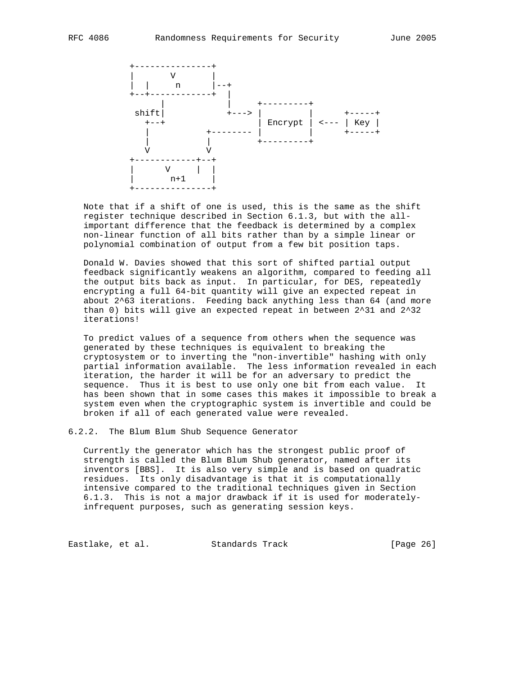

 Note that if a shift of one is used, this is the same as the shift register technique described in Section 6.1.3, but with the all important difference that the feedback is determined by a complex non-linear function of all bits rather than by a simple linear or polynomial combination of output from a few bit position taps.

 Donald W. Davies showed that this sort of shifted partial output feedback significantly weakens an algorithm, compared to feeding all the output bits back as input. In particular, for DES, repeatedly encrypting a full 64-bit quantity will give an expected repeat in about 2^63 iterations. Feeding back anything less than 64 (and more than 0) bits will give an expected repeat in between 2^31 and 2^32 iterations!

 To predict values of a sequence from others when the sequence was generated by these techniques is equivalent to breaking the cryptosystem or to inverting the "non-invertible" hashing with only partial information available. The less information revealed in each iteration, the harder it will be for an adversary to predict the sequence. Thus it is best to use only one bit from each value. It has been shown that in some cases this makes it impossible to break a system even when the cryptographic system is invertible and could be broken if all of each generated value were revealed.

## 6.2.2. The Blum Blum Shub Sequence Generator

 Currently the generator which has the strongest public proof of strength is called the Blum Blum Shub generator, named after its inventors [BBS]. It is also very simple and is based on quadratic residues. Its only disadvantage is that it is computationally intensive compared to the traditional techniques given in Section 6.1.3. This is not a major drawback if it is used for moderately infrequent purposes, such as generating session keys.

Eastlake, et al. Standards Track [Page 26]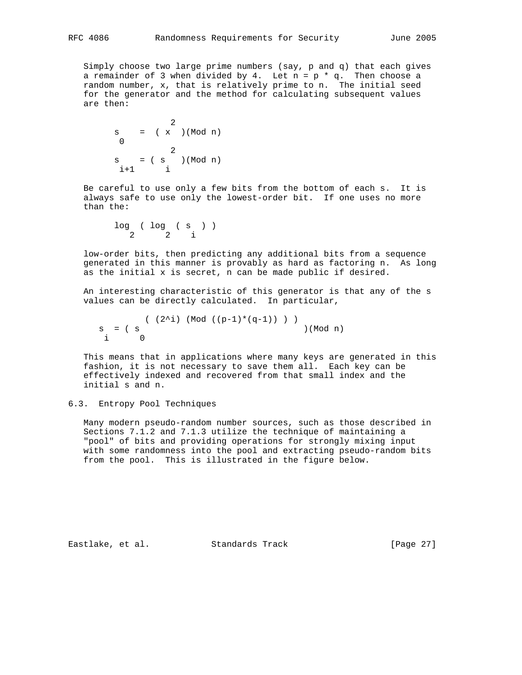Simply choose two large prime numbers (say, p and q) that each gives a remainder of 3 when divided by 4. Let  $n = p * q$ . Then choose a random number, x, that is relatively prime to n. The initial seed for the generator and the method for calculating subsequent values are then:

 2  $s = (x)(Mod n)$  0 2  $s = (s \cap \mathbb{N} \text{odd } n)$  $i+1$  i

 Be careful to use only a few bits from the bottom of each s. It is always safe to use only the lowest-order bit. If one uses no more than the:

 log ( log ( s ) ) 2 2 i

 low-order bits, then predicting any additional bits from a sequence generated in this manner is provably as hard as factoring n. As long as the initial x is secret, n can be made public if desired.

 An interesting characteristic of this generator is that any of the s values can be directly calculated. In particular,

 ( (2^i) (Mod ((p-1)\*(q-1)) ) )  $\begin{array}{lcl} \mathrm{s} & = & ( & \mathrm{s} & ( & \mathrm{mod} \ n) \end{array}$  $i -$ 

 This means that in applications where many keys are generated in this fashion, it is not necessary to save them all. Each key can be effectively indexed and recovered from that small index and the initial s and n.

## 6.3. Entropy Pool Techniques

 Many modern pseudo-random number sources, such as those described in Sections 7.1.2 and 7.1.3 utilize the technique of maintaining a "pool" of bits and providing operations for strongly mixing input with some randomness into the pool and extracting pseudo-random bits from the pool. This is illustrated in the figure below.

Eastlake, et al. Standards Track [Page 27]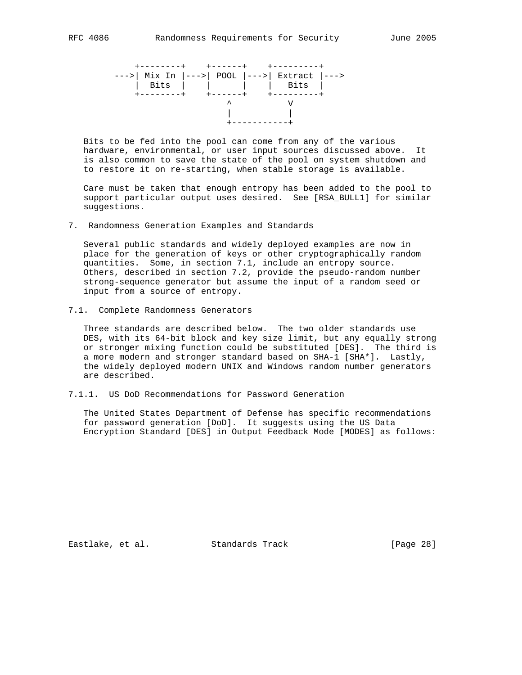

 Bits to be fed into the pool can come from any of the various hardware, environmental, or user input sources discussed above. It is also common to save the state of the pool on system shutdown and to restore it on re-starting, when stable storage is available.

 Care must be taken that enough entropy has been added to the pool to support particular output uses desired. See [RSA\_BULL1] for similar suggestions.

7. Randomness Generation Examples and Standards

 Several public standards and widely deployed examples are now in place for the generation of keys or other cryptographically random quantities. Some, in section 7.1, include an entropy source. Others, described in section 7.2, provide the pseudo-random number strong-sequence generator but assume the input of a random seed or input from a source of entropy.

7.1. Complete Randomness Generators

 Three standards are described below. The two older standards use DES, with its 64-bit block and key size limit, but any equally strong or stronger mixing function could be substituted [DES]. The third is a more modern and stronger standard based on SHA-1 [SHA\*]. Lastly, the widely deployed modern UNIX and Windows random number generators are described.

7.1.1. US DoD Recommendations for Password Generation

 The United States Department of Defense has specific recommendations for password generation [DoD]. It suggests using the US Data Encryption Standard [DES] in Output Feedback Mode [MODES] as follows:

Eastlake, et al. Standards Track [Page 28]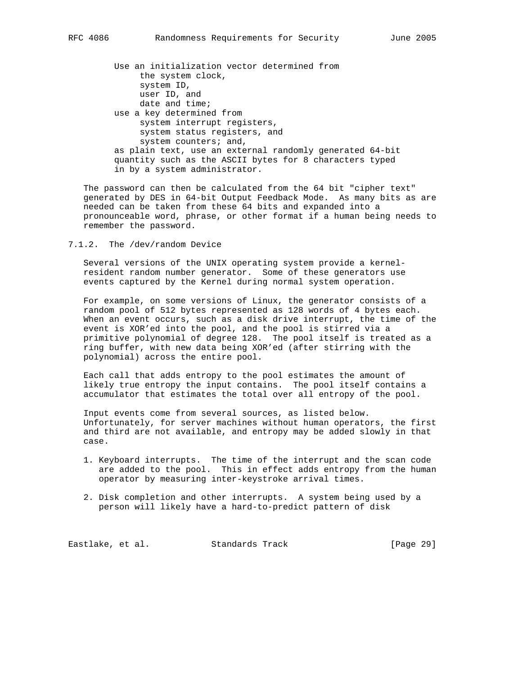Use an initialization vector determined from the system clock, system ID, user ID, and date and time; use a key determined from system interrupt registers, system status registers, and system counters; and, as plain text, use an external randomly generated 64-bit quantity such as the ASCII bytes for 8 characters typed in by a system administrator.

 The password can then be calculated from the 64 bit "cipher text" generated by DES in 64-bit Output Feedback Mode. As many bits as are needed can be taken from these 64 bits and expanded into a pronounceable word, phrase, or other format if a human being needs to remember the password.

7.1.2. The /dev/random Device

 Several versions of the UNIX operating system provide a kernel resident random number generator. Some of these generators use events captured by the Kernel during normal system operation.

 For example, on some versions of Linux, the generator consists of a random pool of 512 bytes represented as 128 words of 4 bytes each. When an event occurs, such as a disk drive interrupt, the time of the event is XOR'ed into the pool, and the pool is stirred via a primitive polynomial of degree 128. The pool itself is treated as a ring buffer, with new data being XOR'ed (after stirring with the polynomial) across the entire pool.

 Each call that adds entropy to the pool estimates the amount of likely true entropy the input contains. The pool itself contains a accumulator that estimates the total over all entropy of the pool.

 Input events come from several sources, as listed below. Unfortunately, for server machines without human operators, the first and third are not available, and entropy may be added slowly in that case.

- 1. Keyboard interrupts. The time of the interrupt and the scan code are added to the pool. This in effect adds entropy from the human operator by measuring inter-keystroke arrival times.
- 2. Disk completion and other interrupts. A system being used by a person will likely have a hard-to-predict pattern of disk

Eastlake, et al. Standards Track [Page 29]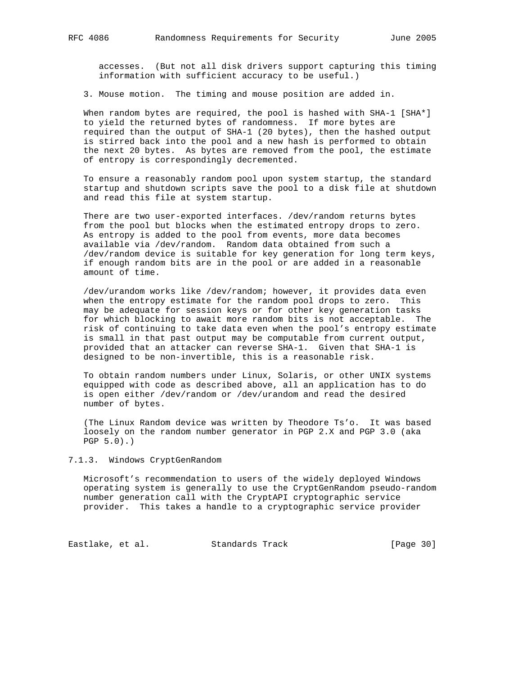accesses. (But not all disk drivers support capturing this timing information with sufficient accuracy to be useful.)

3. Mouse motion. The timing and mouse position are added in.

When random bytes are required, the pool is hashed with  $SHA-1$   $[SHA*]$  to yield the returned bytes of randomness. If more bytes are required than the output of SHA-1 (20 bytes), then the hashed output is stirred back into the pool and a new hash is performed to obtain the next 20 bytes. As bytes are removed from the pool, the estimate of entropy is correspondingly decremented.

 To ensure a reasonably random pool upon system startup, the standard startup and shutdown scripts save the pool to a disk file at shutdown and read this file at system startup.

 There are two user-exported interfaces. /dev/random returns bytes from the pool but blocks when the estimated entropy drops to zero. As entropy is added to the pool from events, more data becomes available via /dev/random. Random data obtained from such a /dev/random device is suitable for key generation for long term keys, if enough random bits are in the pool or are added in a reasonable amount of time.

 /dev/urandom works like /dev/random; however, it provides data even when the entropy estimate for the random pool drops to zero. This may be adequate for session keys or for other key generation tasks for which blocking to await more random bits is not acceptable. The risk of continuing to take data even when the pool's entropy estimate is small in that past output may be computable from current output, provided that an attacker can reverse SHA-1. Given that SHA-1 is designed to be non-invertible, this is a reasonable risk.

 To obtain random numbers under Linux, Solaris, or other UNIX systems equipped with code as described above, all an application has to do is open either /dev/random or /dev/urandom and read the desired number of bytes.

 (The Linux Random device was written by Theodore Ts'o. It was based loosely on the random number generator in PGP 2.X and PGP 3.0 (aka PGP 5.0).)

### 7.1.3. Windows CryptGenRandom

 Microsoft's recommendation to users of the widely deployed Windows operating system is generally to use the CryptGenRandom pseudo-random number generation call with the CryptAPI cryptographic service provider. This takes a handle to a cryptographic service provider

Eastlake, et al. Standards Track [Page 30]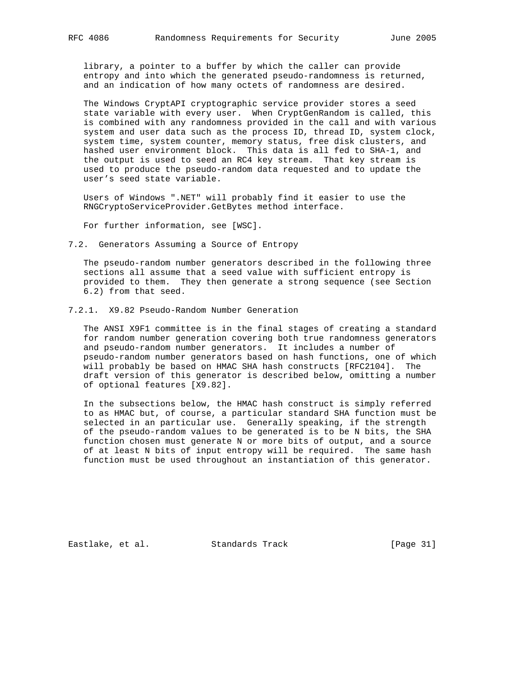library, a pointer to a buffer by which the caller can provide entropy and into which the generated pseudo-randomness is returned, and an indication of how many octets of randomness are desired.

 The Windows CryptAPI cryptographic service provider stores a seed state variable with every user. When CryptGenRandom is called, this is combined with any randomness provided in the call and with various system and user data such as the process ID, thread ID, system clock, system time, system counter, memory status, free disk clusters, and hashed user environment block. This data is all fed to SHA-1, and the output is used to seed an RC4 key stream. That key stream is used to produce the pseudo-random data requested and to update the user's seed state variable.

 Users of Windows ".NET" will probably find it easier to use the RNGCryptoServiceProvider.GetBytes method interface.

For further information, see [WSC].

7.2. Generators Assuming a Source of Entropy

 The pseudo-random number generators described in the following three sections all assume that a seed value with sufficient entropy is provided to them. They then generate a strong sequence (see Section 6.2) from that seed.

7.2.1. X9.82 Pseudo-Random Number Generation

 The ANSI X9F1 committee is in the final stages of creating a standard for random number generation covering both true randomness generators and pseudo-random number generators. It includes a number of pseudo-random number generators based on hash functions, one of which will probably be based on HMAC SHA hash constructs [RFC2104]. The draft version of this generator is described below, omitting a number of optional features [X9.82].

 In the subsections below, the HMAC hash construct is simply referred to as HMAC but, of course, a particular standard SHA function must be selected in an particular use. Generally speaking, if the strength of the pseudo-random values to be generated is to be N bits, the SHA function chosen must generate N or more bits of output, and a source of at least N bits of input entropy will be required. The same hash function must be used throughout an instantiation of this generator.

Eastlake, et al. Standards Track [Page 31]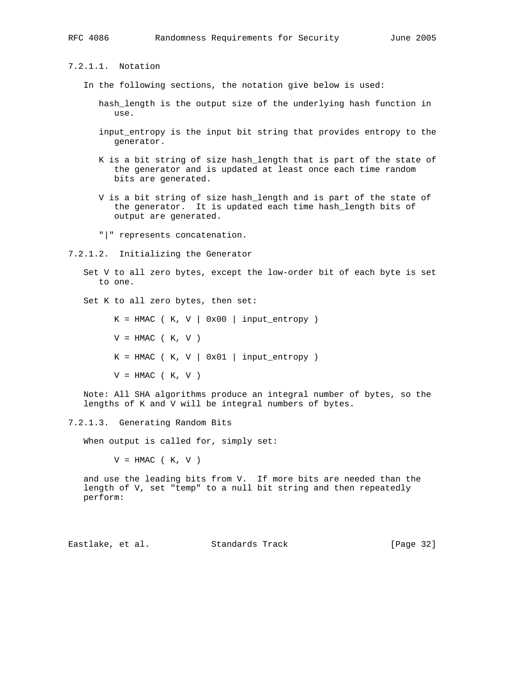7.2.1.1. Notation

- In the following sections, the notation give below is used:
	- hash\_length is the output size of the underlying hash function in use.
	- input\_entropy is the input bit string that provides entropy to the generator.
	- K is a bit string of size hash\_length that is part of the state of the generator and is updated at least once each time random bits are generated.
	- V is a bit string of size hash\_length and is part of the state of the generator. It is updated each time hash\_length bits of output are generated.
	- "|" represents concatenation.

7.2.1.2. Initializing the Generator

- Set V to all zero bytes, except the low-order bit of each byte is set to one.
- Set K to all zero bytes, then set:

 $K = HMAC$  ( K, V | 0x00 | input\_entropy )  $V = HMAC$  (K, V)  $K = HMAC$  ( K, V | 0x01 | input\_entropy )  $V = HMAC$  (K, V)

 Note: All SHA algorithms produce an integral number of bytes, so the lengths of K and V will be integral numbers of bytes.

7.2.1.3. Generating Random Bits

When output is called for, simply set:

 $V = HMAC$  (K, V)

 and use the leading bits from V. If more bits are needed than the length of V, set "temp" to a null bit string and then repeatedly perform:

Eastlake, et al. Standards Track [Page 32]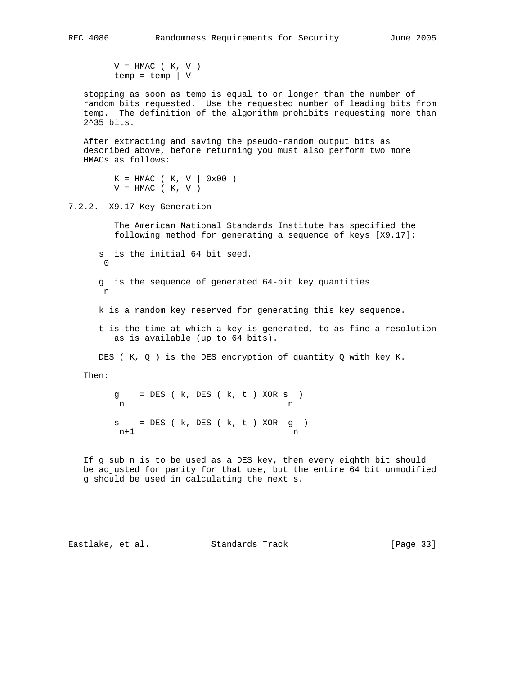$V = HMAC$  (K, V)  $temp = temp \mid V$ 

 stopping as soon as temp is equal to or longer than the number of random bits requested. Use the requested number of leading bits from temp. The definition of the algorithm prohibits requesting more than 2^35 bits.

 After extracting and saving the pseudo-random output bits as described above, before returning you must also perform two more HMACs as follows:

 $K = HMAC$  ( K, V | 0x00 )  $V = HMAC$  (K, V)

## 7.2.2. X9.17 Key Generation

 The American National Standards Institute has specified the following method for generating a sequence of keys [X9.17]:

 s is the initial 64 bit seed. 0 g is the sequence of generated 64-bit key quantities n k is a random key reserved for generating this key sequence. t is the time at which a key is generated, to as fine a resolution as is available (up to 64 bits).

DES ( K, Q ) is the DES encryption of quantity Q with key K.

## Then:

 $g = DES (k, DES (k, t) XOR s)$ n n  $s = DES (k, DES (k, t) XOR g)$  $n+1$  n

 If g sub n is to be used as a DES key, then every eighth bit should be adjusted for parity for that use, but the entire 64 bit unmodified g should be used in calculating the next s.

Eastlake, et al. Standards Track [Page 33]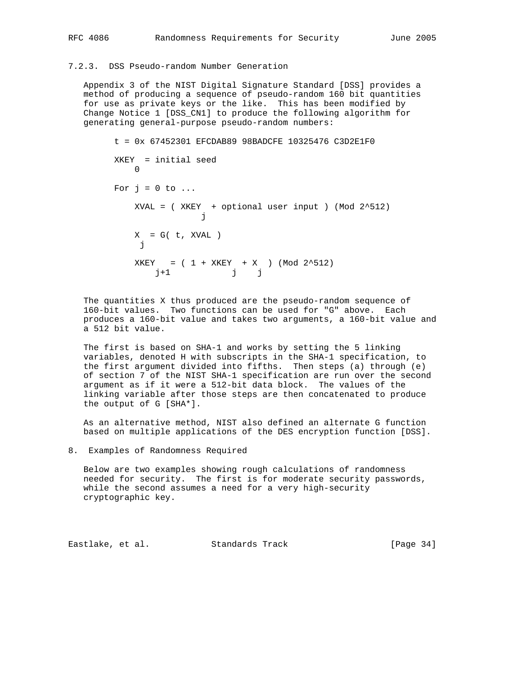## 7.2.3. DSS Pseudo-random Number Generation

 Appendix 3 of the NIST Digital Signature Standard [DSS] provides a method of producing a sequence of pseudo-random 160 bit quantities for use as private keys or the like. This has been modified by Change Notice 1 [DSS\_CN1] to produce the following algorithm for generating general-purpose pseudo-random numbers:

```
 t = 0x 67452301 EFCDAB89 98BADCFE 10325476 C3D2E1F0
               XKEY = initial seed
                  \bigcapFor j = 0 to \ldotsXVAL = (XKEY + optional user input ) (Mod 2^s512)
je poznata za obrazu za obrazu i za obrazu za obrazu za obrazu za obrazu za obrazu za obrazu za obrazu za obra
                    X = G( t, XVAL)je poznata za obrazu i poznata i poznata za obrazu i poznata za obrazu i poznata za obrazu i poznata za obrazu
                    XKEY = (1 + XKEY + X) (Mod 2^512) j+1 j j
```
 The quantities X thus produced are the pseudo-random sequence of 160-bit values. Two functions can be used for "G" above. Each produces a 160-bit value and takes two arguments, a 160-bit value and a 512 bit value.

 The first is based on SHA-1 and works by setting the 5 linking variables, denoted H with subscripts in the SHA-1 specification, to the first argument divided into fifths. Then steps (a) through (e) of section 7 of the NIST SHA-1 specification are run over the second argument as if it were a 512-bit data block. The values of the linking variable after those steps are then concatenated to produce the output of G [SHA\*].

 As an alternative method, NIST also defined an alternate G function based on multiple applications of the DES encryption function [DSS].

8. Examples of Randomness Required

 Below are two examples showing rough calculations of randomness needed for security. The first is for moderate security passwords, while the second assumes a need for a very high-security cryptographic key.

Eastlake, et al. Standards Track [Page 34]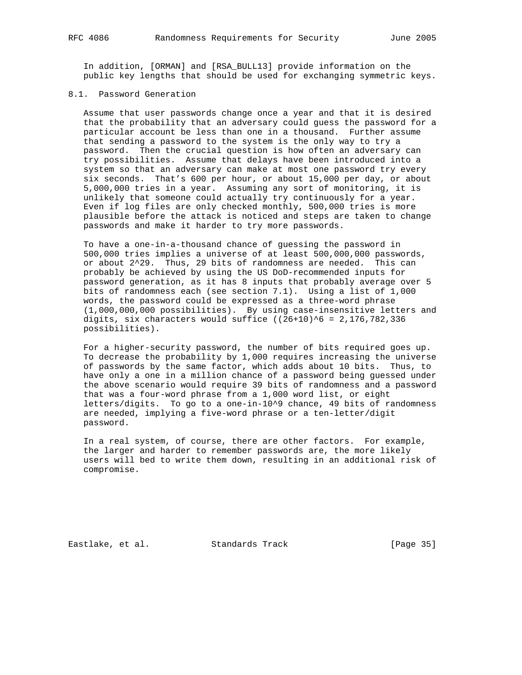In addition, [ORMAN] and [RSA\_BULL13] provide information on the public key lengths that should be used for exchanging symmetric keys.

#### 8.1. Password Generation

 Assume that user passwords change once a year and that it is desired that the probability that an adversary could guess the password for a particular account be less than one in a thousand. Further assume that sending a password to the system is the only way to try a password. Then the crucial question is how often an adversary can try possibilities. Assume that delays have been introduced into a system so that an adversary can make at most one password try every six seconds. That's 600 per hour, or about 15,000 per day, or about 5,000,000 tries in a year. Assuming any sort of monitoring, it is unlikely that someone could actually try continuously for a year. Even if log files are only checked monthly, 500,000 tries is more plausible before the attack is noticed and steps are taken to change passwords and make it harder to try more passwords.

 To have a one-in-a-thousand chance of guessing the password in 500,000 tries implies a universe of at least 500,000,000 passwords, or about 2^29. Thus, 29 bits of randomness are needed. This can probably be achieved by using the US DoD-recommended inputs for password generation, as it has 8 inputs that probably average over 5 bits of randomness each (see section 7.1). Using a list of 1,000 words, the password could be expressed as a three-word phrase (1,000,000,000 possibilities). By using case-insensitive letters and digits, six characters would suffice  $((26+10)^6 6 = 2,176,782,336)$ possibilities).

 For a higher-security password, the number of bits required goes up. To decrease the probability by 1,000 requires increasing the universe of passwords by the same factor, which adds about 10 bits. Thus, to have only a one in a million chance of a password being guessed under the above scenario would require 39 bits of randomness and a password that was a four-word phrase from a 1,000 word list, or eight letters/digits. To go to a one-in-10^9 chance, 49 bits of randomness are needed, implying a five-word phrase or a ten-letter/digit password.

 In a real system, of course, there are other factors. For example, the larger and harder to remember passwords are, the more likely users will bed to write them down, resulting in an additional risk of compromise.

Eastlake, et al. Standards Track [Page 35]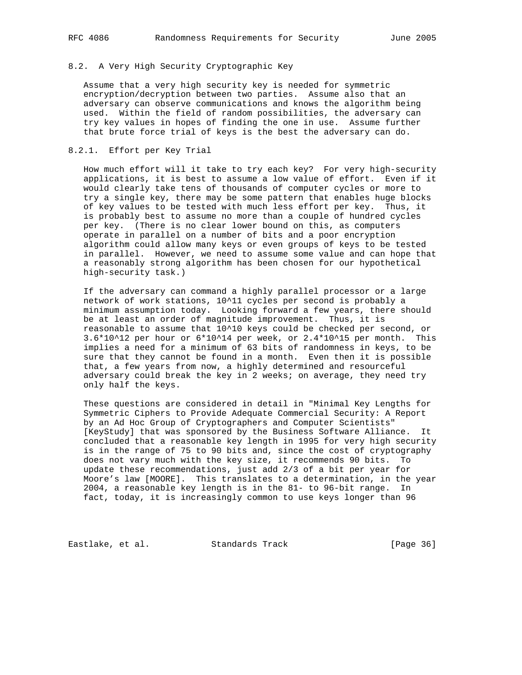## 8.2. A Very High Security Cryptographic Key

 Assume that a very high security key is needed for symmetric encryption/decryption between two parties. Assume also that an adversary can observe communications and knows the algorithm being used. Within the field of random possibilities, the adversary can try key values in hopes of finding the one in use. Assume further that brute force trial of keys is the best the adversary can do.

## 8.2.1. Effort per Key Trial

 How much effort will it take to try each key? For very high-security applications, it is best to assume a low value of effort. Even if it would clearly take tens of thousands of computer cycles or more to try a single key, there may be some pattern that enables huge blocks of key values to be tested with much less effort per key. Thus, it is probably best to assume no more than a couple of hundred cycles per key. (There is no clear lower bound on this, as computers operate in parallel on a number of bits and a poor encryption algorithm could allow many keys or even groups of keys to be tested in parallel. However, we need to assume some value and can hope that a reasonably strong algorithm has been chosen for our hypothetical high-security task.)

 If the adversary can command a highly parallel processor or a large network of work stations, 10^11 cycles per second is probably a minimum assumption today. Looking forward a few years, there should be at least an order of magnitude improvement. Thus, it is reasonable to assume that 10^10 keys could be checked per second, or 3.6\*10^12 per hour or 6\*10^14 per week, or 2.4\*10^15 per month. This implies a need for a minimum of 63 bits of randomness in keys, to be sure that they cannot be found in a month. Even then it is possible that, a few years from now, a highly determined and resourceful adversary could break the key in 2 weeks; on average, they need try only half the keys.

 These questions are considered in detail in "Minimal Key Lengths for Symmetric Ciphers to Provide Adequate Commercial Security: A Report by an Ad Hoc Group of Cryptographers and Computer Scientists" [KeyStudy] that was sponsored by the Business Software Alliance. It concluded that a reasonable key length in 1995 for very high security is in the range of 75 to 90 bits and, since the cost of cryptography does not vary much with the key size, it recommends 90 bits. To update these recommendations, just add 2/3 of a bit per year for Moore's law [MOORE]. This translates to a determination, in the year 2004, a reasonable key length is in the 81- to 96-bit range. In fact, today, it is increasingly common to use keys longer than 96

Eastlake, et al. Standards Track [Page 36]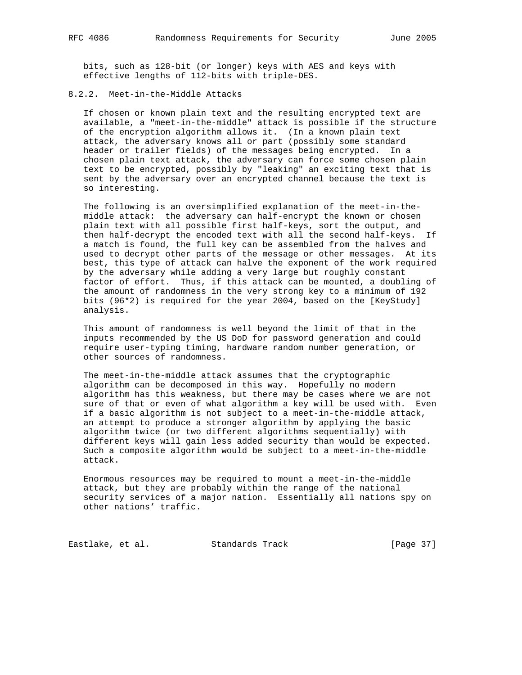bits, such as 128-bit (or longer) keys with AES and keys with effective lengths of 112-bits with triple-DES.

## 8.2.2. Meet-in-the-Middle Attacks

 If chosen or known plain text and the resulting encrypted text are available, a "meet-in-the-middle" attack is possible if the structure of the encryption algorithm allows it. (In a known plain text attack, the adversary knows all or part (possibly some standard header or trailer fields) of the messages being encrypted. In a chosen plain text attack, the adversary can force some chosen plain text to be encrypted, possibly by "leaking" an exciting text that is sent by the adversary over an encrypted channel because the text is so interesting.

 The following is an oversimplified explanation of the meet-in-the middle attack: the adversary can half-encrypt the known or chosen plain text with all possible first half-keys, sort the output, and then half-decrypt the encoded text with all the second half-keys. If a match is found, the full key can be assembled from the halves and used to decrypt other parts of the message or other messages. At its best, this type of attack can halve the exponent of the work required by the adversary while adding a very large but roughly constant factor of effort. Thus, if this attack can be mounted, a doubling of the amount of randomness in the very strong key to a minimum of 192 bits (96\*2) is required for the year 2004, based on the [KeyStudy] analysis.

 This amount of randomness is well beyond the limit of that in the inputs recommended by the US DoD for password generation and could require user-typing timing, hardware random number generation, or other sources of randomness.

 The meet-in-the-middle attack assumes that the cryptographic algorithm can be decomposed in this way. Hopefully no modern algorithm has this weakness, but there may be cases where we are not sure of that or even of what algorithm a key will be used with. Even if a basic algorithm is not subject to a meet-in-the-middle attack, an attempt to produce a stronger algorithm by applying the basic algorithm twice (or two different algorithms sequentially) with different keys will gain less added security than would be expected. Such a composite algorithm would be subject to a meet-in-the-middle attack.

 Enormous resources may be required to mount a meet-in-the-middle attack, but they are probably within the range of the national security services of a major nation. Essentially all nations spy on other nations' traffic.

Eastlake, et al. Standards Track [Page 37]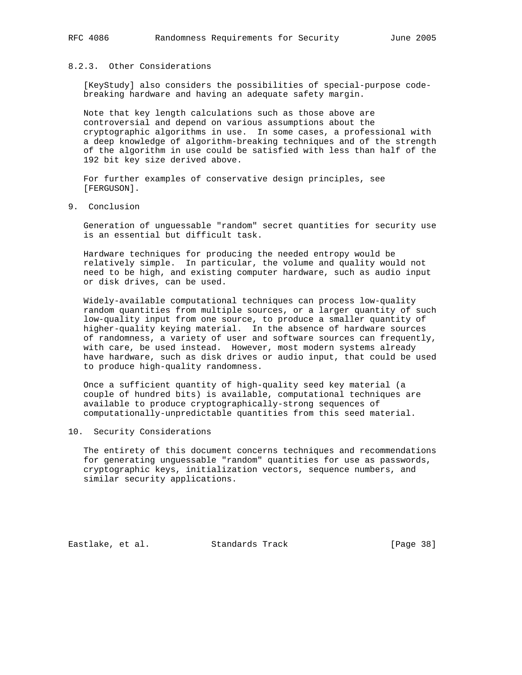## 8.2.3. Other Considerations

 [KeyStudy] also considers the possibilities of special-purpose code breaking hardware and having an adequate safety margin.

 Note that key length calculations such as those above are controversial and depend on various assumptions about the cryptographic algorithms in use. In some cases, a professional with a deep knowledge of algorithm-breaking techniques and of the strength of the algorithm in use could be satisfied with less than half of the 192 bit key size derived above.

 For further examples of conservative design principles, see [FERGUSON].

9. Conclusion

 Generation of unguessable "random" secret quantities for security use is an essential but difficult task.

 Hardware techniques for producing the needed entropy would be relatively simple. In particular, the volume and quality would not need to be high, and existing computer hardware, such as audio input or disk drives, can be used.

 Widely-available computational techniques can process low-quality random quantities from multiple sources, or a larger quantity of such low-quality input from one source, to produce a smaller quantity of higher-quality keying material. In the absence of hardware sources of randomness, a variety of user and software sources can frequently, with care, be used instead. However, most modern systems already have hardware, such as disk drives or audio input, that could be used to produce high-quality randomness.

 Once a sufficient quantity of high-quality seed key material (a couple of hundred bits) is available, computational techniques are available to produce cryptographically-strong sequences of computationally-unpredictable quantities from this seed material.

## 10. Security Considerations

 The entirety of this document concerns techniques and recommendations for generating unguessable "random" quantities for use as passwords, cryptographic keys, initialization vectors, sequence numbers, and similar security applications.

Eastlake, et al. Standards Track [Page 38]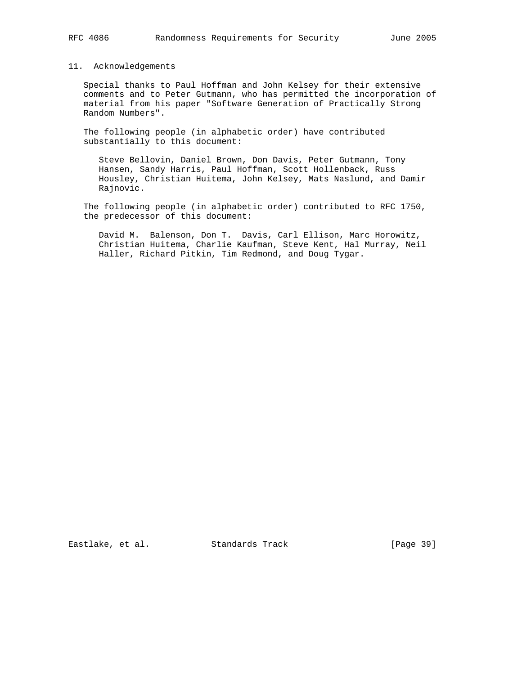## 11. Acknowledgements

 Special thanks to Paul Hoffman and John Kelsey for their extensive comments and to Peter Gutmann, who has permitted the incorporation of material from his paper "Software Generation of Practically Strong Random Numbers".

 The following people (in alphabetic order) have contributed substantially to this document:

 Steve Bellovin, Daniel Brown, Don Davis, Peter Gutmann, Tony Hansen, Sandy Harris, Paul Hoffman, Scott Hollenback, Russ Housley, Christian Huitema, John Kelsey, Mats Naslund, and Damir Rajnovic.

 The following people (in alphabetic order) contributed to RFC 1750, the predecessor of this document:

 David M. Balenson, Don T. Davis, Carl Ellison, Marc Horowitz, Christian Huitema, Charlie Kaufman, Steve Kent, Hal Murray, Neil Haller, Richard Pitkin, Tim Redmond, and Doug Tygar.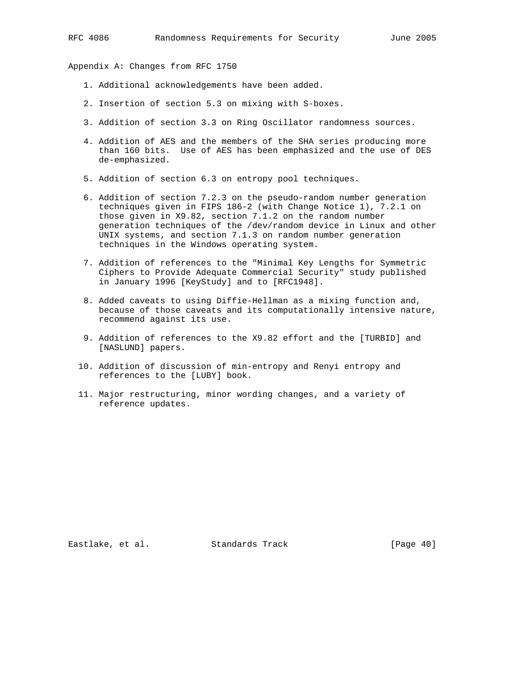Appendix A: Changes from RFC 1750

- 1. Additional acknowledgements have been added.
- 2. Insertion of section 5.3 on mixing with S-boxes.
- 3. Addition of section 3.3 on Ring Oscillator randomness sources.
- 4. Addition of AES and the members of the SHA series producing more than 160 bits. Use of AES has been emphasized and the use of DES de-emphasized.
- 5. Addition of section 6.3 on entropy pool techniques.
- 6. Addition of section 7.2.3 on the pseudo-random number generation techniques given in FIPS 186-2 (with Change Notice 1), 7.2.1 on those given in X9.82, section 7.1.2 on the random number generation techniques of the /dev/random device in Linux and other UNIX systems, and section 7.1.3 on random number generation techniques in the Windows operating system.
- 7. Addition of references to the "Minimal Key Lengths for Symmetric Ciphers to Provide Adequate Commercial Security" study published in January 1996 [KeyStudy] and to [RFC1948].
- 8. Added caveats to using Diffie-Hellman as a mixing function and, because of those caveats and its computationally intensive nature, recommend against its use.
- 9. Addition of references to the X9.82 effort and the [TURBID] and [NASLUND] papers.
- 10. Addition of discussion of min-entropy and Renyi entropy and references to the [LUBY] book.
- 11. Major restructuring, minor wording changes, and a variety of reference updates.

Eastlake, et al. Standards Track [Page 40]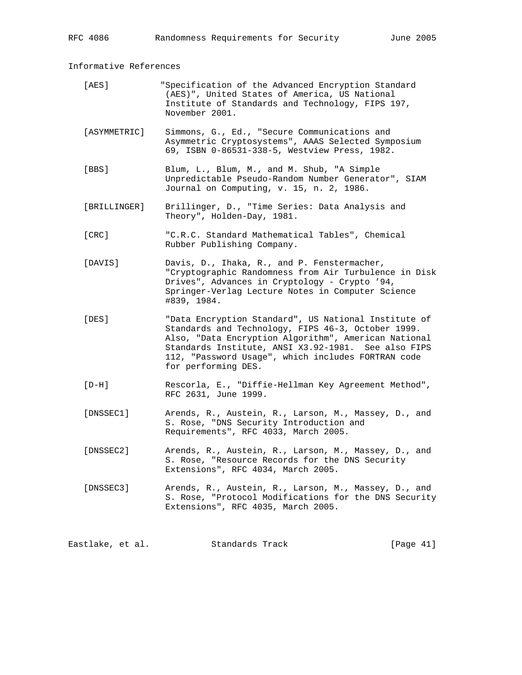Informative References

- [AES] "Specification of the Advanced Encryption Standard (AES)", United States of America, US National Institute of Standards and Technology, FIPS 197, November 2001.
- [ASYMMETRIC] Simmons, G., Ed., "Secure Communications and Asymmetric Cryptosystems", AAAS Selected Symposium 69, ISBN 0-86531-338-5, Westview Press, 1982.
- [BBS] Blum, L., Blum, M., and M. Shub, "A Simple Unpredictable Pseudo-Random Number Generator", SIAM Journal on Computing, v. 15, n. 2, 1986.
- [BRILLINGER] Brillinger, D., "Time Series: Data Analysis and Theory", Holden-Day, 1981.
- [CRC] "C.R.C. Standard Mathematical Tables", Chemical Rubber Publishing Company.
- [DAVIS] Davis, D., Ihaka, R., and P. Fenstermacher, "Cryptographic Randomness from Air Turbulence in Disk Drives", Advances in Cryptology - Crypto '94, Springer-Verlag Lecture Notes in Computer Science #839, 1984.
- [DES] "Data Encryption Standard", US National Institute of Standards and Technology, FIPS 46-3, October 1999. Also, "Data Encryption Algorithm", American National Standards Institute, ANSI X3.92-1981. See also FIPS 112, "Password Usage", which includes FORTRAN code for performing DES.
- [D-H] Rescorla, E., "Diffie-Hellman Key Agreement Method", RFC 2631, June 1999.
- [DNSSEC1] Arends, R., Austein, R., Larson, M., Massey, D., and S. Rose, "DNS Security Introduction and Requirements", RFC 4033, March 2005.
- [DNSSEC2] Arends, R., Austein, R., Larson, M., Massey, D., and S. Rose, "Resource Records for the DNS Security Extensions", RFC 4034, March 2005.
- [DNSSEC3] Arends, R., Austein, R., Larson, M., Massey, D., and S. Rose, "Protocol Modifications for the DNS Security Extensions", RFC 4035, March 2005.

Eastlake, et al. Standards Track [Page 41]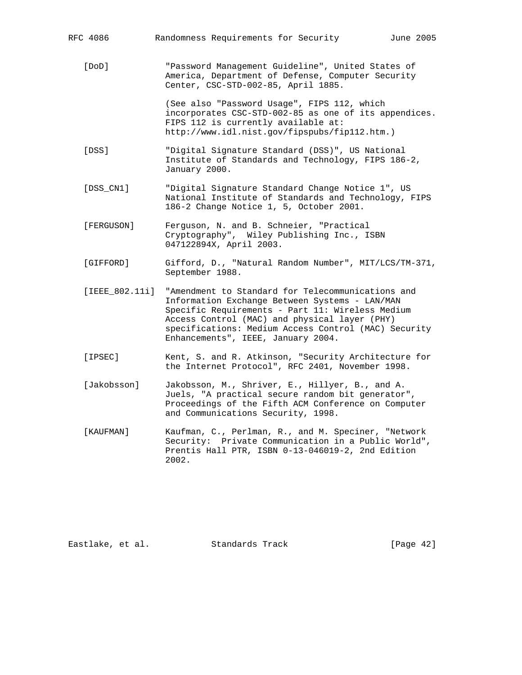| RFC 4086         | Randomness Requirements for Security<br>June 2005                                                                                                                                                                                                                                                      |
|------------------|--------------------------------------------------------------------------------------------------------------------------------------------------------------------------------------------------------------------------------------------------------------------------------------------------------|
| [DOD]            | "Password Management Guideline", United States of<br>America, Department of Defense, Computer Security<br>Center, CSC-STD-002-85, April 1885.                                                                                                                                                          |
|                  | (See also "Password Usage", FIPS 112, which<br>incorporates CSC-STD-002-85 as one of its appendices.<br>FIPS 112 is currently available at:<br>http://www.idl.nist.gov/fipspubs/fip112.htm.)                                                                                                           |
| [DSS]            | "Digital Signature Standard (DSS)", US National<br>Institute of Standards and Technology, FIPS 186-2,<br>January 2000.                                                                                                                                                                                 |
| [DSS CN1]        | "Digital Signature Standard Change Notice 1", US<br>National Institute of Standards and Technology, FIPS<br>186-2 Change Notice 1, 5, October 2001.                                                                                                                                                    |
| [FERGUSON]       | Ferguson, N. and B. Schneier, "Practical<br>Cryptography", Wiley Publishing Inc., ISBN<br>047122894X, April 2003.                                                                                                                                                                                      |
| [GIFFORD]        | Gifford, D., "Natural Random Number", MIT/LCS/TM-371,<br>September 1988.                                                                                                                                                                                                                               |
| $[IEEE_802.11i]$ | "Amendment to Standard for Telecommunications and<br>Information Exchange Between Systems - LAN/MAN<br>Specific Requirements - Part 11: Wireless Medium<br>Access Control (MAC) and physical layer (PHY)<br>specifications: Medium Access Control (MAC) Security<br>Enhancements", IEEE, January 2004. |
| [IPSEC]          | Kent, S. and R. Atkinson, "Security Architecture for<br>the Internet Protocol", RFC 2401, November 1998.                                                                                                                                                                                               |
| [Jakobsson]      | Jakobsson, M., Shriver, E., Hillyer, B., and A.<br>Juels, "A practical secure random bit generator",<br>Proceedings of the Fifth ACM Conference on Computer<br>and Communications Security, 1998.                                                                                                      |
| [KAUFMAN]        | Kaufman, C., Perlman, R., and M. Speciner, "Network<br>Security: Private Communication in a Public World",<br>Prentis Hall PTR, ISBN 0-13-046019-2, 2nd Edition<br>2002.                                                                                                                               |
|                  |                                                                                                                                                                                                                                                                                                        |

Eastlake, et al. Standards Track [Page 42]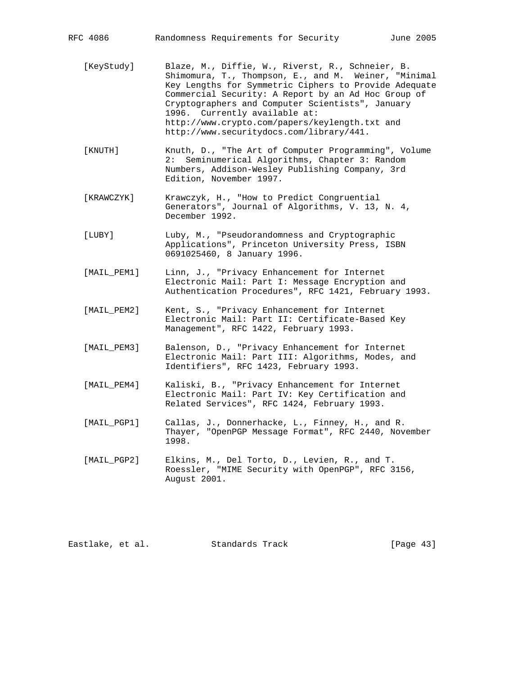| RFC 4086    | Randomness Requirements for Security<br>June 2005                                                                                                                                                                                                                                                                                                                                                           |
|-------------|-------------------------------------------------------------------------------------------------------------------------------------------------------------------------------------------------------------------------------------------------------------------------------------------------------------------------------------------------------------------------------------------------------------|
| [KeyStudy]  | Blaze, M., Diffie, W., Riverst, R., Schneier, B.<br>Shimomura, T., Thompson, E., and M. Weiner, "Minimal<br>Key Lengths for Symmetric Ciphers to Provide Adequate<br>Commercial Security: A Report by an Ad Hoc Group of<br>Cryptographers and Computer Scientists", January<br>1996. Currently available at:<br>http://www.crypto.com/papers/keylength.txt and<br>http://www.securitydocs.com/library/441. |
| [KNUTH]     | Knuth, D., "The Art of Computer Programming", Volume<br>2: Seminumerical Algorithms, Chapter 3: Random<br>Numbers, Addison-Wesley Publishing Company, 3rd<br>Edition, November 1997.                                                                                                                                                                                                                        |
| [KRAWCZYK]  | Krawczyk, H., "How to Predict Congruential<br>Generators", Journal of Algorithms, V. 13, N. 4,<br>December 1992.                                                                                                                                                                                                                                                                                            |
| [LUBY]      | Luby, M., "Pseudorandomness and Cryptographic<br>Applications", Princeton University Press, ISBN<br>0691025460, 8 January 1996.                                                                                                                                                                                                                                                                             |
| [MAIL_PEM1] | Linn, J., "Privacy Enhancement for Internet<br>Electronic Mail: Part I: Message Encryption and<br>Authentication Procedures", RFC 1421, February 1993.                                                                                                                                                                                                                                                      |
| [MAIL PEM2] | Kent, S., "Privacy Enhancement for Internet<br>Electronic Mail: Part II: Certificate-Based Key<br>Management", RFC 1422, February 1993.                                                                                                                                                                                                                                                                     |
| [MAIL PEM3] | Balenson, D., "Privacy Enhancement for Internet<br>Electronic Mail: Part III: Algorithms, Modes, and<br>Identifiers", RFC 1423, February 1993.                                                                                                                                                                                                                                                              |
| [MAIL_PEM4] | Kaliski, B., "Privacy Enhancement for Internet<br>Electronic Mail: Part IV: Key Certification and<br>Related Services", RFC 1424, February 1993.                                                                                                                                                                                                                                                            |
| [MAIL PGP1] | Callas, J., Donnerhacke, L., Finney, H., and R.<br>Thayer, "OpenPGP Message Format", RFC 2440, November<br>1998.                                                                                                                                                                                                                                                                                            |
| [MAIL_PGP2] | Elkins, M., Del Torto, D., Levien, R., and T.<br>Roessler, "MIME Security with OpenPGP", RFC 3156,<br>August 2001.                                                                                                                                                                                                                                                                                          |

Eastlake, et al. Standards Track [Page 43]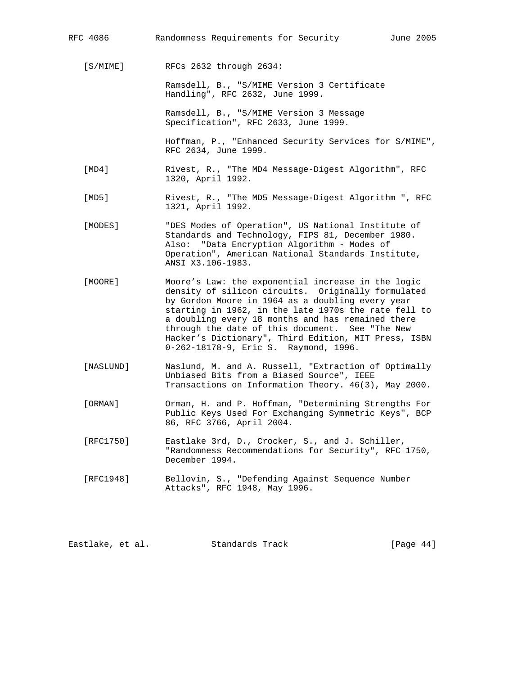| RFC 4086  | Randomness Requirements for Security<br>June 2005                                                                                                                                                                                                                                                                                                                                                                             |
|-----------|-------------------------------------------------------------------------------------------------------------------------------------------------------------------------------------------------------------------------------------------------------------------------------------------------------------------------------------------------------------------------------------------------------------------------------|
| [S/MIME]  | RFCs 2632 through 2634:                                                                                                                                                                                                                                                                                                                                                                                                       |
|           | Ramsdell, B., "S/MIME Version 3 Certificate<br>Handling", RFC 2632, June 1999.                                                                                                                                                                                                                                                                                                                                                |
|           | Ramsdell, B., "S/MIME Version 3 Message<br>Specification", RFC 2633, June 1999.                                                                                                                                                                                                                                                                                                                                               |
|           | Hoffman, P., "Enhanced Security Services for S/MIME",<br>RFC 2634, June 1999.                                                                                                                                                                                                                                                                                                                                                 |
| [MD4]     | Rivest, R., "The MD4 Message-Digest Algorithm", RFC<br>1320, April 1992.                                                                                                                                                                                                                                                                                                                                                      |
| [MD5]     | Rivest, R., "The MD5 Message-Digest Algorithm ", RFC<br>1321, April 1992.                                                                                                                                                                                                                                                                                                                                                     |
| [MODES]   | "DES Modes of Operation", US National Institute of<br>Standards and Technology, FIPS 81, December 1980.<br>Also: "Data Encryption Algorithm - Modes of<br>Operation", American National Standards Institute,<br>ANSI X3.106-1983.                                                                                                                                                                                             |
| [MOORE]   | Moore's Law: the exponential increase in the logic<br>density of silicon circuits. Originally formulated<br>by Gordon Moore in 1964 as a doubling every year<br>starting in 1962, in the late 1970s the rate fell to<br>a doubling every 18 months and has remained there<br>through the date of this document. See "The New<br>Hacker's Dictionary", Third Edition, MIT Press, ISBN<br>0-262-18178-9, Eric S. Raymond, 1996. |
| [NASLUND] | Naslund, M. and A. Russell, "Extraction of Optimally<br>Unbiased Bits from a Biased Source", IEEE<br>Transactions on Information Theory. 46(3), May 2000.                                                                                                                                                                                                                                                                     |
| [ORMAN]   | Orman, H. and P. Hoffman, "Determining Strengths For<br>Public Keys Used For Exchanging Symmetric Keys", BCP<br>86, RFC 3766, April 2004.                                                                                                                                                                                                                                                                                     |
| [RFC1750] | Eastlake 3rd, D., Crocker, S., and J. Schiller,<br>"Randomness Recommendations for Security", RFC 1750,<br>December 1994.                                                                                                                                                                                                                                                                                                     |
| [RFC1948] | Bellovin, S., "Defending Against Sequence Number<br>Attacks", RFC 1948, May 1996.                                                                                                                                                                                                                                                                                                                                             |
|           |                                                                                                                                                                                                                                                                                                                                                                                                                               |

Eastlake, et al. Standards Track [Page 44]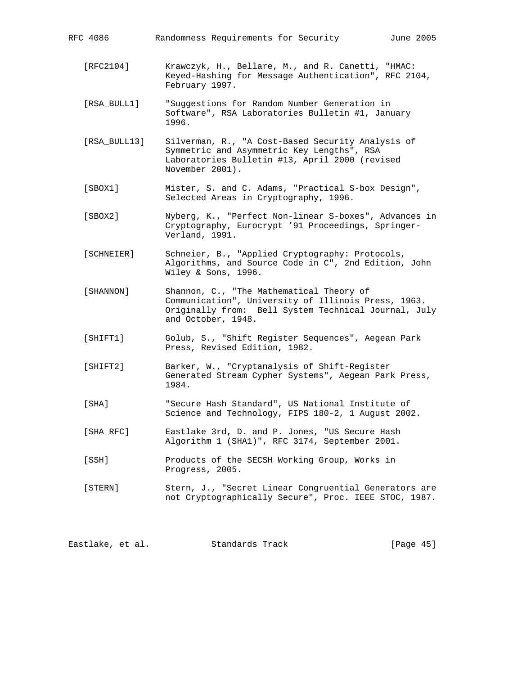| RFC 4086     | Randomness Requirements for Security<br>June 2005                                                                                                                             |
|--------------|-------------------------------------------------------------------------------------------------------------------------------------------------------------------------------|
| [RFC2104]    | Krawczyk, H., Bellare, M., and R. Canetti, "HMAC:<br>Keyed-Hashing for Message Authentication", RFC 2104,<br>February 1997.                                                   |
| [RSA BULL1]  | "Suggestions for Random Number Generation in<br>Software", RSA Laboratories Bulletin #1, January<br>1996.                                                                     |
| [RSA_BULL13] | Silverman, R., "A Cost-Based Security Analysis of<br>Symmetric and Asymmetric Key Lengths", RSA<br>Laboratories Bulletin #13, April 2000 (revised<br>November 2001).          |
| [SBOX1]      | Mister, S. and C. Adams, "Practical S-box Design",<br>Selected Areas in Cryptography, 1996.                                                                                   |
| [SBOX2]      | Nyberg, K., "Perfect Non-linear S-boxes", Advances in<br>Cryptography, Eurocrypt '91 Proceedings, Springer-<br>Verland, 1991.                                                 |
| [SCHNEIER]   | Schneier, B., "Applied Cryptography: Protocols,<br>Algorithms, and Source Code in C", 2nd Edition, John<br>Wiley & Sons, 1996.                                                |
| [SHANNON]    | Shannon, C., "The Mathematical Theory of<br>Communication", University of Illinois Press, 1963.<br>Originally from: Bell System Technical Journal, July<br>and October, 1948. |
| [SHIFT1]     | Golub, S., "Shift Register Sequences", Aegean Park<br>Press, Revised Edition, 1982.                                                                                           |
| [SHIFT2]     | Barker, W., "Cryptanalysis of Shift-Register<br>Generated Stream Cypher Systems", Aegean Park Press,<br>1984.                                                                 |
| [SHA]        | "Secure Hash Standard", US National Institute of<br>Science and Technology, FIPS 180-2, 1 August 2002.                                                                        |
| [SHA RFC]    | Eastlake 3rd, D. and P. Jones, "US Secure Hash<br>Algorithm 1 (SHA1)", RFC 3174, September 2001.                                                                              |
| [SSH]        | Products of the SECSH Working Group, Works in<br>Progress, 2005.                                                                                                              |
| [STERN]      | Stern, J., "Secret Linear Congruential Generators are<br>not Cryptographically Secure", Proc. IEEE STOC, 1987.                                                                |

Eastlake, et al. Standards Track [Page 45]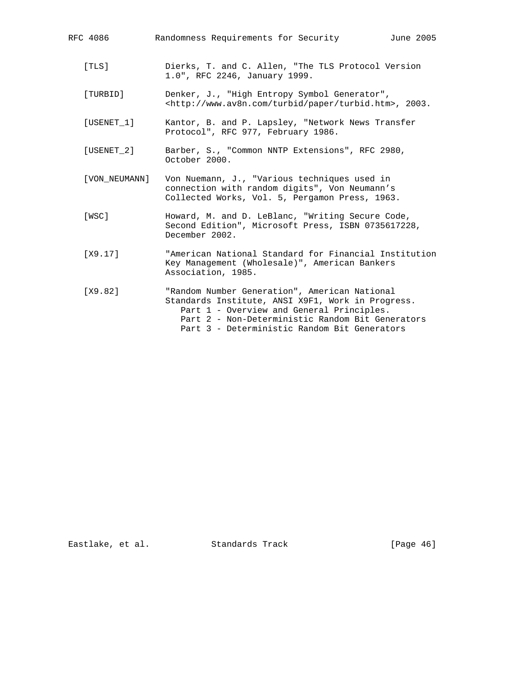| RFC 4086           | Randomness Requirements for Security<br>June 2005                                                                                                                                                                                                   |
|--------------------|-----------------------------------------------------------------------------------------------------------------------------------------------------------------------------------------------------------------------------------------------------|
| [TLS]              | Dierks, T. and C. Allen, "The TLS Protocol Version<br>1.0", RFC 2246, January 1999.                                                                                                                                                                 |
| [TURBID]           | Denker, J., "High Entropy Symbol Generator",<br><http: paper="" turbid="" turbid.htm="" www.av8n.com="">, 2003.</http:>                                                                                                                             |
| [USENET 1]         | Kantor, B. and P. Lapsley, "Network News Transfer<br>Protocol", RFC 977, February 1986.                                                                                                                                                             |
| $[$ USENET $\_2$ ] | Barber, S., "Common NNTP Extensions", RFC 2980,<br>October 2000.                                                                                                                                                                                    |
| [VON NEUMANN]      | Von Nuemann, J., "Various techniques used in<br>connection with random digits", Von Neumann's<br>Collected Works, Vol. 5, Pergamon Press, 1963.                                                                                                     |
| [WSC]              | Howard, M. and D. LeBlanc, "Writing Secure Code,<br>Second Edition", Microsoft Press, ISBN 0735617228,<br>December 2002.                                                                                                                            |
| [X9.17]            | "American National Standard for Financial Institution<br>Key Management (Wholesale)", American Bankers<br>Association, 1985.                                                                                                                        |
| [X9.82]            | "Random Number Generation", American National<br>Standards Institute, ANSI X9F1, Work in Progress.<br>Part 1 - Overview and General Principles.<br>Part 2 - Non-Deterministic Random Bit Generators<br>Part 3 - Deterministic Random Bit Generators |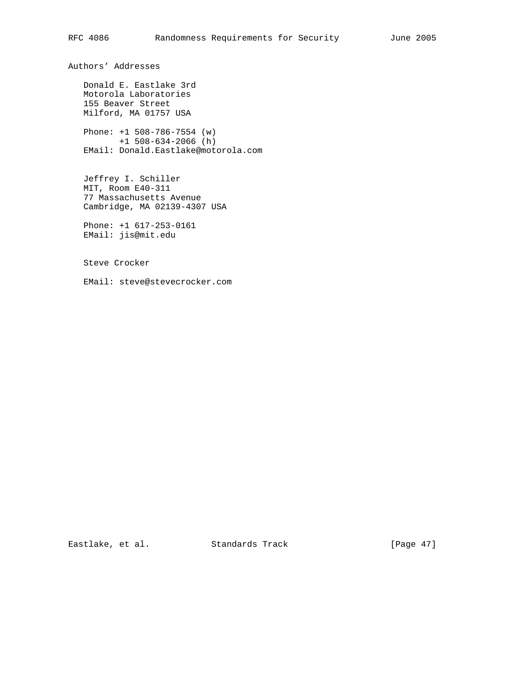Authors' Addresses

 Donald E. Eastlake 3rd Motorola Laboratories 155 Beaver Street Milford, MA 01757 USA

 Phone: +1 508-786-7554 (w) +1 508-634-2066 (h) EMail: Donald.Eastlake@motorola.com

 Jeffrey I. Schiller MIT, Room E40-311 77 Massachusetts Avenue Cambridge, MA 02139-4307 USA

 Phone: +1 617-253-0161 EMail: jis@mit.edu

Steve Crocker

EMail: steve@stevecrocker.com

Eastlake, et al. Standards Track [Page 47]